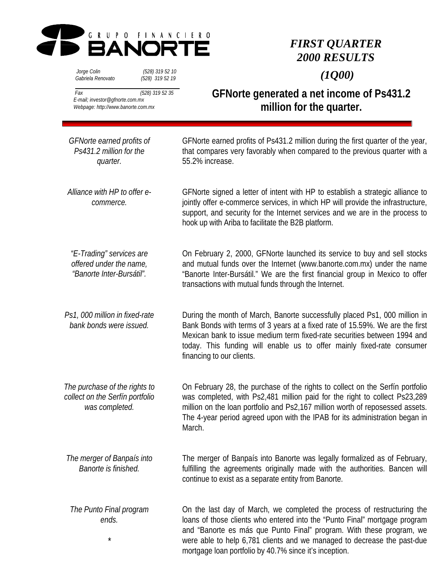

# *FIRST QUARTER 2000 RESULTS*

 *Jorge Colin (528) 319 52 10 Gabriela Renovato (528) 319 52 19*

 *(1Q00)*

 *Fax (528) 319 52 35 E-mail; investor@gfnorte.com.mx Webpage: http://www.banorte.com.mx*

**GFNorte generated a net income of Ps431.2 million for the quarter.**

| GFNorte earned profits of<br>Ps431.2 million for the<br>quarter.                   | GFNorte earned profits of Ps431.2 million during the first quarter of the year,<br>that compares very favorably when compared to the previous quarter with a<br>55.2% increase.                                                                                                                                                                                    |
|------------------------------------------------------------------------------------|--------------------------------------------------------------------------------------------------------------------------------------------------------------------------------------------------------------------------------------------------------------------------------------------------------------------------------------------------------------------|
| Alliance with HP to offer e-<br>commerce.                                          | GFNorte signed a letter of intent with HP to establish a strategic alliance to<br>jointly offer e-commerce services, in which HP will provide the infrastructure,<br>support, and security for the Internet services and we are in the process to<br>hook up with Ariba to facilitate the B2B platform.                                                            |
| "E-Trading" services are<br>offered under the name,<br>"Banorte Inter-Bursátil".   | On February 2, 2000, GFNorte launched its service to buy and sell stocks<br>and mutual funds over the Internet (www.banorte.com.mx) under the name<br>"Banorte Inter-Bursátil." We are the first financial group in Mexico to offer<br>transactions with mutual funds through the Internet.                                                                        |
| Ps1, 000 million in fixed-rate<br>bank bonds were issued.                          | During the month of March, Banorte successfully placed Ps1, 000 million in<br>Bank Bonds with terms of 3 years at a fixed rate of 15.59%. We are the first<br>Mexican bank to issue medium term fixed-rate securities between 1994 and<br>today. This funding will enable us to offer mainly fixed-rate consumer<br>financing to our clients.                      |
| The purchase of the rights to<br>collect on the Serfín portfolio<br>was completed. | On February 28, the purchase of the rights to collect on the Serfín portfolio<br>was completed, with Ps2,481 million paid for the right to collect Ps23,289<br>million on the loan portfolio and Ps2,167 million worth of reposessed assets.<br>The 4-year period agreed upon with the IPAB for its administration began in<br>March.                              |
| The merger of Banpaís into<br>Banorte is finished.                                 | The merger of Banpaís into Banorte was legally formalized as of February,<br>fulfilling the agreements originally made with the authorities. Bancen will<br>continue to exist as a separate entity from Banorte.                                                                                                                                                   |
| The Punto Final program<br>ends.<br>$^\star$                                       | On the last day of March, we completed the process of restructuring the<br>loans of those clients who entered into the "Punto Final" mortgage program<br>and "Banorte es más que Punto Final" program. With these program, we<br>were able to help 6,781 clients and we managed to decrease the past-due<br>mortgage loan portfolio by 40.7% since it's inception. |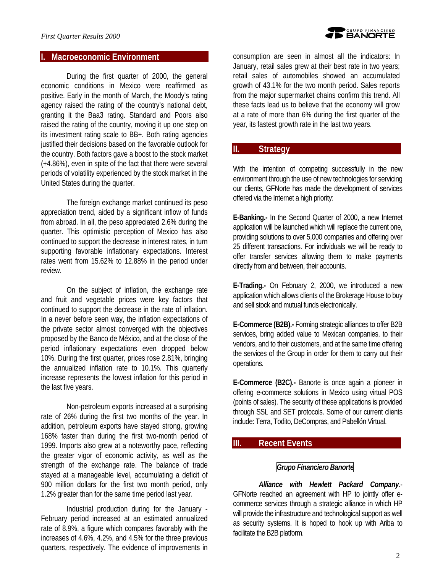### **I. Macroeconomic Environment**

During the first quarter of 2000, the general economic conditions in Mexico were reaffirmed as positive. Early in the month of March, the Moody's rating agency raised the rating of the country's national debt, granting it the Baa3 rating. Standard and Poors also raised the rating of the country, moving it up one step on its investment rating scale to BB+. Both rating agencies justified their decisions based on the favorable outlook for the country. Both factors gave a boost to the stock market (+4.86%), even in spite of the fact that there were several periods of volatility experienced by the stock market in the United States during the quarter.

The foreign exchange market continued its peso appreciation trend, aided by a significant inflow of funds from abroad. In all, the peso appreciated 2.6% during the quarter. This optimistic perception of Mexico has also continued to support the decrease in interest rates, in turn supporting favorable inflationary expectations. Interest rates went from 15.62% to 12.88% in the period under review.

On the subject of inflation, the exchange rate and fruit and vegetable prices were key factors that continued to support the decrease in the rate of inflation. In a never before seen way, the inflation expectations of the private sector almost converged with the objectives proposed by the Banco de México, and at the close of the period inflationary expectations even dropped below 10%. During the first quarter, prices rose 2.81%, bringing the annualized inflation rate to 10.1%. This quarterly increase represents the lowest inflation for this period in the last five years.

Non-petroleum exports increased at a surprising rate of 26% during the first two months of the year. In addition, petroleum exports have stayed strong, growing 168% faster than during the first two-month period of 1999. Imports also grew at a noteworthy pace, reflecting the greater vigor of economic activity, as well as the strength of the exchange rate. The balance of trade stayed at a manageable level, accumulating a deficit of 900 million dollars for the first two month period, only 1.2% greater than for the same time period last year.

Industrial production during for the January - February period increased at an estimated annualized rate of 8.9%, a figure which compares favorably with the increases of 4.6%, 4.2%, and 4.5% for the three previous quarters, respectively. The evidence of improvements in

consumption are seen in almost all the indicators: In January, retail sales grew at their best rate in two years; retail sales of automobiles showed an accumulated growth of 43.1% for the two month period. Sales reports from the major supermarket chains confirm this trend. All these facts lead us to believe that the economy will grow at a rate of more than 6% during the first quarter of the year, its fastest growth rate in the last two years.

### **II. Strategy**

With the intention of competing successfully in the new environment through the use of new technologies for servicing our clients, GFNorte has made the development of services offered via the Internet a high priority:

**E-Banking.-** In the Second Quarter of 2000, a new Internet application will be launched which will replace the current one, providing solutions to over 5,000 companies and offering over 25 different transactions. For individuals we will be ready to offer transfer services allowing them to make payments directly from and between, their accounts.

**E-Trading.-** On February 2, 2000, we introduced a new application which allows clients of the Brokerage House to buy and sell stock and mutual funds electronically.

**E-Commerce (B2B).-** Forming strategic alliances to offer B2B services, bring added value to Mexican companies, to their vendors, and to their customers, and at the same time offering the services of the Group in order for them to carry out their operations.

**E-Commerce (B2C).-** Banorte is once again a pioneer in offering e-commerce solutions in Mexico using virtual POS (points of sales). The security of these applications is provided through SSL and SET protocols. Some of our current clients include: Terra, Todito, DeCompras, and Pabellón Virtual.

### **III. Recent Events**

### *Grupo Financiero Banorte*

*Alliance with Hewlett Packard Company*.- GFNorte reached an agreement with HP to jointly offer ecommerce services through a strategic alliance in which HP will provide the infrastructure and technological support as well as security systems. It is hoped to hook up with Ariba to facilitate the B2B platform.

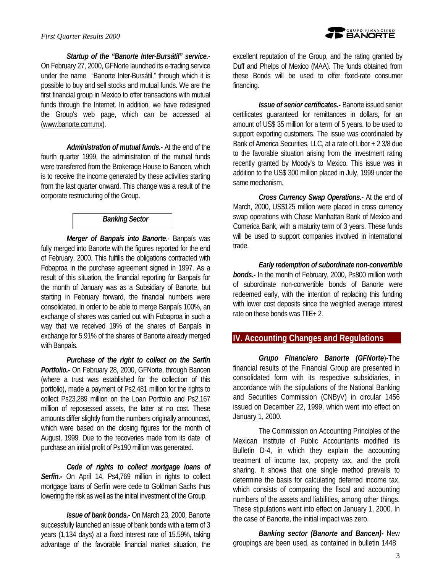*Startup of the "Banorte Inter-Bursátil" service.-* On February 27, 2000, GFNorte launched its e-trading service under the name "Banorte Inter-Bursátil," through which it is possible to buy and sell stocks and mutual funds. We are the first financial group in Mexico to offer transactions with mutual funds through the Internet. In addition, we have redesigned the Group's web page, which can be accessed at (www.banorte.com.mx).

*Administration of mutual funds.-* At the end of the fourth quarter 1999, the administration of the mutual funds were transferred from the Brokerage House to Bancen, which is to receive the income generated by these activities starting from the last quarter onward. This change was a result of the corporate restructuring of the Group.

### *Banking Sector*

*Merger of Banpaís into Banorte*.- Banpaís was fully merged into Banorte with the figures reported for the end of February, 2000. This fulfills the obligations contracted with Fobaproa in the purchase agreement signed in 1997. As a result of this situation, the financial reporting for Banpaís for the month of January was as a Subsidiary of Banorte, but starting in February forward, the financial numbers were consolidated. In order to be able to merge Banpaís 100%, an exchange of shares was carried out with Fobaproa in such a way that we received 19% of the shares of Banpaís in exchange for 5.91% of the shares of Banorte already merged with Banpaís.

*Purchase of the right to collect on the Serfín Portfolio.-* On February 28, 2000, GFNorte, through Bancen (where a trust was established for the collection of this portfolio), made a payment of Ps2,481 million for the rights to collect Ps23,289 million on the Loan Portfolio and Ps2,167 million of reposessed assets, the latter at no cost. These amounts differ slightly from the numbers originally announced, which were based on the closing figures for the month of August, 1999. Due to the recoveries made from its date of purchase an initial profit of Ps190 million was generated.

*Cede of rights to collect mortgage loans of Serfín.-* On April 14, Ps4,769 million in rights to collect mortgage loans of Serfín were cede to Goldman Sachs thus lowering the risk as well as the initial investment of the Group.

*Issue of bank bonds.-* On March 23, 2000, Banorte successfully launched an issue of bank bonds with a term of 3 years (1,134 days) at a fixed interest rate of 15.59%, taking advantage of the favorable financial market situation, the excellent reputation of the Group, and the rating granted by Duff and Phelps of Mexico (MAA). The funds obtained from these Bonds will be used to offer fixed-rate consumer financing.

*Issue of senior certificates.-* Banorte issued senior certificates guaranteed for remittances in dollars, for an amount of US\$ 35 million for a term of 5 years, to be used to support exporting customers. The issue was coordinated by Bank of America Securities, LLC, at a rate of Libor + 2 3/8 due to the favorable situation arising from the investment rating recently granted by Moody's to Mexico. This issue was in addition to the US\$ 300 million placed in July, 1999 under the same mechanism.

*Cross Currency Swap Operations.-* At the end of March, 2000, US\$125 million were placed in cross currency swap operations with Chase Manhattan Bank of Mexico and Comerica Bank, with a maturity term of 3 years. These funds will be used to support companies involved in international trade.

*Early redemption of subordinate non-convertible bonds.-* In the month of February, 2000, Ps800 million worth of subordinate non-convertible bonds of Banorte were redeemed early, with the intention of replacing this funding with lower cost deposits since the weighted average interest rate on these bonds was TIIE+ 2.

### **IV. Accounting Changes and Regulations**

*Grupo Financiero Banorte (GFNorte*)-The financial results of the Financial Group are presented in consolidated form with its respective subsidiaries, in accordance with the stipulations of the National Banking and Securities Commission (CNByV) in circular 1456 issued on December 22, 1999, which went into effect on January 1, 2000.

The Commission on Accounting Principles of the Mexican Institute of Public Accountants modified its Bulletin D-4, in which they explain the accounting treatment of income tax, property tax, and the profit sharing. It shows that one single method prevails to determine the basis for calculating deferred income tax, which consists of comparing the fiscal and accounting numbers of the assets and liabilities, among other things. These stipulations went into effect on January 1, 2000. In the case of Banorte, the initial impact was zero.

*Banking sector (Banorte and Bancen)-* New groupings are been used, as contained in bulletin 1448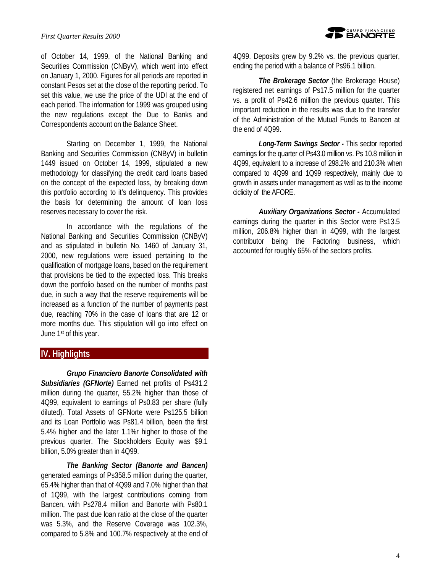of October 14, 1999, of the National Banking and Securities Commission (CNByV), which went into effect on January 1, 2000. Figures for all periods are reported in constant Pesos set at the close of the reporting period. To set this value, we use the price of the UDI at the end of each period. The information for 1999 was grouped using the new regulations except the Due to Banks and Correspondents account on the Balance Sheet.

Starting on December 1, 1999, the National Banking and Securities Commission (CNByV) in bulletin 1449 issued on October 14, 1999, stipulated a new methodology for classifying the credit card loans based on the concept of the expected loss, by breaking down this portfolio according to it's delinquency. This provides the basis for determining the amount of loan loss reserves necessary to cover the risk.

In accordance with the regulations of the National Banking and Securities Commission (CNByV) and as stipulated in bulletin No. 1460 of January 31, 2000, new regulations were issued pertaining to the qualification of mortgage loans, based on the requirement that provisions be tied to the expected loss. This breaks down the portfolio based on the number of months past due, in such a way that the reserve requirements will be increased as a function of the number of payments past due, reaching 70% in the case of loans that are 12 or more months due. This stipulation will go into effect on June 1st of this year.

# **IV. Highlights**

*Grupo Financiero Banorte Consolidated with Subsidiaries (GFNorte)* Earned net profits of Ps431.2 million during the quarter, 55.2% higher than those of 4Q99, equivalent to earnings of Ps0.83 per share (fully diluted). Total Assets of GFNorte were Ps125.5 billion and its Loan Portfolio was Ps81.4 billion, been the first 5.4% higher and the later 1.1%r higher to those of the previous quarter. The Stockholders Equity was \$9.1 billion, 5.0% greater than in 4Q99.

*The Banking Sector (Banorte and Bancen)* generated earnings of Ps358.5 million during the quarter, 65.4% higher than that of 4Q99 and 7.0% higher than that of 1Q99, with the largest contributions coming from Bancen, with Ps278.4 million and Banorte with Ps80.1 million. The past due loan ratio at the close of the quarter was 5.3%, and the Reserve Coverage was 102.3%, compared to 5.8% and 100.7% respectively at the end of 4Q99. Deposits grew by 9.2% vs. the previous quarter, ending the period with a balance of Ps96.1 billion.

*The Brokerage Sector* (the Brokerage House) registered net earnings of Ps17.5 million for the quarter vs. a profit of Ps42.6 million the previous quarter. This important reduction in the results was due to the transfer of the Administration of the Mutual Funds to Bancen at the end of 4Q99.

*Long-Term Savings Sector -* This sector reported earnings for the quarter of Ps43.0 million vs. Ps 10.8 million in 4Q99, equivalent to a increase of 298.2% and 210.3% when compared to 4Q99 and 1Q99 respectively, mainly due to growth in assets under management as well as to the income ciclicity of the AFORE.

*Auxiliary Organizations Sector -* Accumulated earnings during the quarter in this Sector were Ps13.5 million, 206.8% higher than in 4Q99, with the largest contributor being the Factoring business, which accounted for roughly 65% of the sectors profits.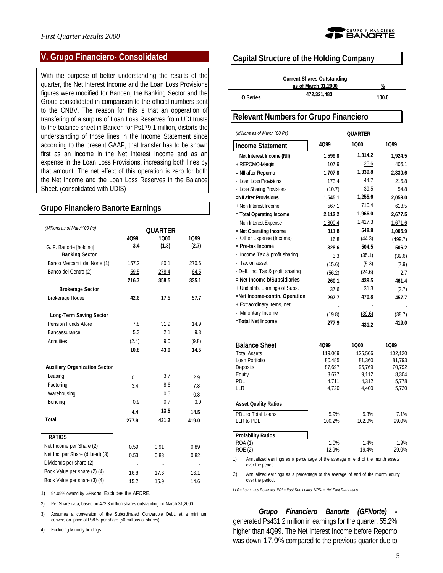

### **V. Grupo Financiero- Consolidated**

With the purpose of better understanding the results of the quarter, the Net Interest Income and the Loan Loss Provisions figures were modified for Bancen, the Banking Sector and the Group consolidated in comparison to the official numbers sent to the CNBV. The reason for this is that an opperation of transfering of a surplus of Loan Loss Reserves from UDI trusts to the balance sheet in Bancen for Ps179.1 million, distorts the understanding of those lines in the Income Statement since according to the present GAAP, that transfer has to be shown first as an income in the Net Interest Income and as an expense in the Loan Loss Provisions, increasing both lines by that amount. The net effect of this operation is zero for both the Net Income and the Loan Loss Reserves in the Balance Sheet. (consolidated with UDIS)

### **Grupo Financiero Banorte Earnings** *(Millions as of March´00 Ps)* **QUARTER 4Q99 1Q00 1Q99** G. F. Banorte [holding] **3.4 (1.3) (2.7) Banking Sector** Banco Mercantil del Norte (1) 157.2 80.1 270.6 Banco del Centro (2) 59.5 278.4 64.5 **216.7 358.5 335.1 Brokerage Sector** Brokerage House **42.6 17.5 57.7 Long-Term Saving Sector** Pension Funds Afore 7.8 31.9 14.9 Bancassurance 5.3 2.1 9.3 Annuities (2.4) 9.0 (9.8) **10.8 43.0 14.5 Auxiliary Organization Sector** Leasing 0.1 3.7 2.9 Factoring 3.4 8.6 7.8 Warehousing 0.5 0.8 Bonding 0.9 0.7 3.0 **4.4 13.5 14.5 Total 277.9 431.2 419.0 RATIOS** Net Income per Share (2) 0.59 0.91 0.89 Net Inc. per Share (diluted) (3) 0.53 0.83 0.82 Dividends per share (2) Book Value per share (2) (4) 16.8 17.6 16.1 Book Value per share (3) (4) 15.2 15.9 14.6 1) 94.09% owned by GFNorte. Excludes the AFORE. 2) Per Share data, based on 472.3 million shares outstanding on March 31,2000.

3) Assumes a conversion of the Subordinated Convertible Debt. at a minimum conversion price of Ps8.5 per share (50 millions of shares)

4) Excluding Minority holdings.

### **Capital Structure of the Holding Company**

|          | <b>Current Shares Outstanding</b> |       |
|----------|-----------------------------------|-------|
|          | as of March 31,2000               | %     |
| O Series | 472.321.483                       | 100.0 |

### **Relevant Numbers for Grupo Financiero**

| (Millions as of March '00 Ps)                           | <b>OUARTER</b> |         |         |  |
|---------------------------------------------------------|----------------|---------|---------|--|
| <b>Income Statement</b>                                 | 4Q99           | 1Q00    | 1Q99    |  |
| Net Interest Income (NII)                               | 1,599.8        | 1,314.2 | 1,924.5 |  |
| + REPOMO-Margin                                         | 107.9          | 25.6    | 406.1   |  |
| = NII after Repomo                                      | 1,707.8        | 1,339.8 | 2,330.6 |  |
| - Loan Loss Provisions                                  | 173.4          | 44.7    | 216.8   |  |
| - Loss Sharing Provisions                               | (10.7)         | 39.5    | 54.8    |  |
| =NII after Provisions                                   | 1.545.1        | 1,255.6 | 2,059.0 |  |
| + Non Interest Income                                   | 567.1          | 710.4   | 618.5   |  |
| = Total Operating Income                                | 2,112.2        | 1,966.0 | 2,677.5 |  |
| - Non Interest Expense                                  | 1,800.4        | 1,417.3 | 1,671.6 |  |
| = Net Operating Income                                  | 311.8          | 548.8   | 1,005.9 |  |
| Other Expense (Income)                                  | 16.8           | (44.3)  | (499.7) |  |
| $=$ Pre-tax Income                                      | 328.6          | 504.5   | 506.2   |  |
| Income Tax & profit sharing<br>$\overline{\phantom{a}}$ | 3.3            | (35.1)  | (39.6)  |  |
| - Tax on asset                                          | (15.6)         | (5.3)   | (7.9)   |  |
| - Deff. Inc. Tax & profit sharing                       | (56.2)         | (24.6)  | 2.7     |  |
| $=$ Net Income b/Subsidiaries                           | 260.1          | 439.5   | 461.4   |  |
| + Undistrib. Earnings of Subs.                          | 37.6           | 31.3    | (3.7)   |  |
| =Net Income-contin. Operation                           | 297.7          | 470.8   | 457.7   |  |
| + Extraordinary Items, net                              |                |         |         |  |
| - Minoritary Income                                     | (19.8)         | (39.6)  | (38.7)  |  |
| =Total Net Income                                       | 277.9          | 431.2   | 419.0   |  |

| <b>Balance Sheet</b>        | 4Q99    | 1Q00    | 1Q99    |
|-----------------------------|---------|---------|---------|
| <b>Total Assets</b>         | 119.069 | 125.506 | 102.120 |
| Loan Portfolio              | 80.485  | 81.360  | 81.793  |
| Deposits                    | 87.697  | 95.769  | 70.792  |
| Equity                      | 8.677   | 9.112   | 8.304   |
| <b>PDL</b>                  | 4.711   | 4.312   | 5,778   |
| LLR                         | 4,720   | 4.400   | 5,720   |
|                             |         |         |         |
| <b>Asset Quality Ratios</b> |         |         |         |
| PDL to Total Loans          | 5.9%    | 5.3%    | 7.1%    |
| LLR to PDL                  | 100.2%  | 102.0%  | 99.0%   |
|                             |         |         |         |
| <b>Profability Ratios</b>   |         |         |         |
| <b>ROA (1)</b>              | 1.0%    | 1.4%    | 1.9%    |
| ROE (2)                     | 12.9%   | 19.4%   | 29.0%   |

1) Annualized earnings as a percentage of the average of end of the month assets over the period.

2) Annualized earnings as a percentage of the average of end of the month equity over the period.

*LLR= Loan Loss Reserves, PDL= Past Due Loans, NPDL= Net Past Due Loans*

*Grupo Financiero Banorte (GFNorte)*  generated Ps431.2 million in earnings for the quarter, 55.2% higher than 4Q99. The Net Interest Income before Repomo was down 17.9% compared to the previous quarter due to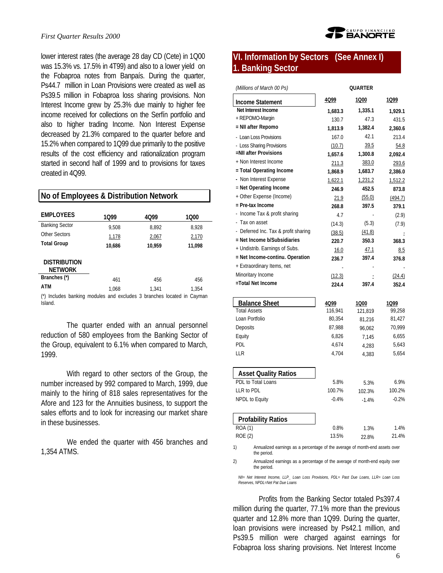#### *First Quarter Results 2000*

lower interest rates (the average 28 day CD (Cete) in 1Q00 was 15.3% vs. 17.5% in 4T99) and also to a lower yield on the Fobaproa notes from Banpaís. During the quarter, Ps44.7 million in Loan Provisions were created as well as Ps39.5 million in Fobaproa loss sharing provisions. Non Interest Income grew by 25.3% due mainly to higher fee income received for collections on the Serfín portfolio and also to higher trading Income. Non Interest Expense decreased by 21.3% compared to the quarter before and 15.2% when compared to 1Q99 due primarily to the positive results of the cost efficiency and rationalization program started in second half of 1999 and to provisions for taxes created in 4Q99.

| No of Employees & Distribution Network |                                                                    |        |        |  |
|----------------------------------------|--------------------------------------------------------------------|--------|--------|--|
| <b>EMPLOYEES</b>                       |                                                                    |        |        |  |
|                                        | 1099                                                               | 4099   | 1000   |  |
| <b>Banking Sector</b>                  | 9.508                                                              | 8.892  | 8.928  |  |
| Other Sectors                          | 1,178                                                              | 2,067  | 2,170  |  |
| <b>Total Group</b>                     | 10.686                                                             | 10.959 | 11.098 |  |
| <b>DISTRIBUTION</b><br><b>NETWORK</b>  |                                                                    |        |        |  |
| Branches (*)                           |                                                                    |        |        |  |
|                                        | 461                                                                | 456    | 456    |  |
| ATM                                    | 1.068                                                              | 1.341  | 1.354  |  |
| Island.                                | Includes banking modules and excludes 3 branches located in Cayman |        |        |  |

The quarter ended with an annual personnel reduction of 580 employees from the Banking Sector of the Group, equivalent to 6.1% when compared to March, 1999.

With regard to other sectors of the Group, the number increased by 992 compared to March, 1999, due mainly to the hiring of 818 sales representatives for the Afore and 123 for the Annuities business, to support the sales efforts and to look for increasing our market share in these businesses.

We ended the quarter with 456 branches and 1,354 ATMS.



# **VI. Information by Sectors (See Annex I) 1. Banking Sector**

| (Millions of March 00 Ps)                   |                 | <b>QUARTER</b>   |                |
|---------------------------------------------|-----------------|------------------|----------------|
| <b>Income Statement</b>                     | 4Q99            | 1Q00             | 1Q99           |
| Net Interest Income                         | 1,683.3         | 1,335.1          | 1,929.1        |
| + REPOMO-Margin                             | 130.7           | 47.3             | 431.5          |
| = NII after Repomo                          | 1,813.9         | 1,382.4          | 2,360.6        |
| - Loan Loss Provisions                      | 167.0           | 42.1             | 213.4          |
| - Loss Sharing Provisions                   | (10.7)          | 39.5             | 54.8           |
| =NII after Provisions                       | 1,657.6         | 1,300.8          | 2,092.4        |
| + Non Interest Income                       | 211.3           | 383.0            | 293.6          |
| = Total Operating Income                    | 1,868.9         | 1,683.7          | 2,386.0        |
| - Non Interest Expense                      | 1,622.1         | 1,231.2          | 1,512.2        |
| = Net Operating Income                      | 246.9           | 452.5            | 873.8          |
| + Other Expense (Income)                    | 21.9            | (55.0)           | (494.7)        |
| = Pre-tax Income                            | 268.8           | 397.5            | 379.1          |
| - Income Tax & profit sharing               | 4.7             |                  | (2.9)          |
| - Tax on asset                              | (14.3)          | (5.3)            | (7.9)          |
| - Deferred Inc. Tax & profit sharing        | (38.5)          | (41.8)           |                |
| = Net Income b/Subsidiaries                 | 220.7           | 350.3            | 368.3          |
| + Undistrib. Earnings of Subs.              | 16.0            | 47.1             | 8.5            |
| = Net Income-continu. Operation             | 236.7           | 397.4            | 376.8          |
| + Extraordinary Items, net                  |                 |                  |                |
| Minoritary Income                           | (12.3)          |                  | (24.4)         |
| =Total Net Income                           | 224.4           | 397.4            | 352.4          |
|                                             |                 |                  |                |
| <b>Balance Sheet</b><br><b>Total Assets</b> | 4Q99<br>116,941 | 1Q00             | 1099<br>99,258 |
| Loan Portfolio                              | 80,354          | 121,819          | 81,427         |
| Deposits                                    | 87,988          | 81,216<br>96,062 | 70,999         |
| Equity                                      | 6,826           | 7.145            | 6,655          |
| <b>PDL</b>                                  | 4,674           | 4,283            | 5,643          |
| LLR                                         | 4,704           |                  | 5,654          |
|                                             |                 | 4,383            |                |
| <b>Asset Quality Ratios</b>                 |                 |                  |                |
| PDL to Total Loans                          | 5.8%            | 5.3%             | 6.9%           |
| LLR to PDL                                  | 100.7%          | 102.3%           | 100.2%         |
| NPDL to Equity                              | $-0.4%$         | $-1.4%$          | $-0.2%$        |
| <b>Profability Ratios</b>                   |                 |                  |                |
| ROA(1)                                      | 0.8%            | 1.3%             | 1.4%           |
| <b>ROE (2)</b>                              | 13.5%           | 22.8%            | 21.4%          |
|                                             |                 |                  |                |

1) Annualized earnings as a percentage of the average of month-end assets over the period.

2) Annualized earnings as a percentage of the average of month-end equity over the period.

*NII= Net Interest Income, LLP\_ Loan Loss Provisions, PDL= Past Due Loans, LLR= Loan Loss Reserves, NPDL=Net Pat Due Loans*

Profits from the Banking Sector totaled Ps397.4 million during the quarter, 77.1% more than the previous quarter and 12.8% more than 1Q99. During the quarter, loan provisions were increased by Ps42.1 million, and Ps39.5 million were charged against earnings for Fobaproa loss sharing provisions. Net Interest Income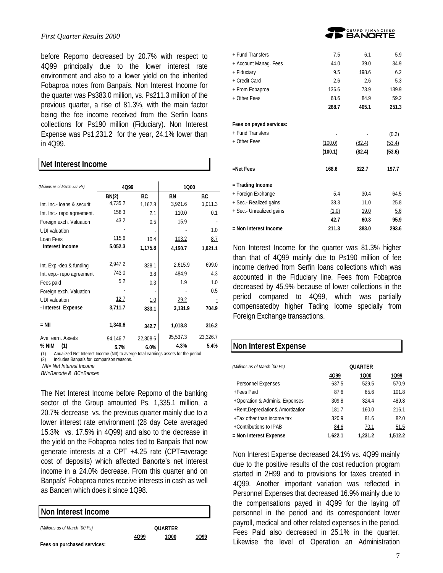#### *First Quarter Results 2000*

**Net Interest Income**

before Repomo decreased by 20.7% with respect to 4Q99 principally due to the lower interest rate environment and also to a lower yield on the inherited Fobaproa notes from Banpaís. Non Interest Income for the quarter was Ps383.0 million, vs. Ps211.3 million of the previous quarter, a rise of 81.3%, with the main factor being the fee income received from the Serfin loans collections for Ps190 million (Fiduciary). Non Interest Expense was Ps1,231.2 for the year, 24.1% lower than in 4Q99.

| net interest income           |              |                              |             |           |
|-------------------------------|--------------|------------------------------|-------------|-----------|
| (Millions as of March .00 Ps) | 4Q99         |                              | 1000        |           |
|                               | BN(2)        | <u>BC</u>                    | <u>BN</u>   | <u>BC</u> |
| Int. Inc.- loans & securit.   | 4,735.2      | 1,162.8                      | 3,921.6     | 1,011.3   |
| Int. Inc.- repo agreement.    | 158.3        | 2.1                          | 110.0       | 0.1       |
| Foreign exch. Valuation       | 43.2         | 0.5                          | 15.9        |           |
| <b>UDI</b> valuation          |              |                              |             | 1.0       |
| Loan Fees                     | <u>115.6</u> | 10.4                         | 103.2       | 8.7       |
| Interest Income               | 5,052.3      | 1,175.8                      | 4,150.7     | 1,021.1   |
|                               |              |                              |             |           |
| Int. Exp.-dep.& funding       | 2,947.2      | 828.1                        | 2,615.9     | 699.0     |
| Int. exp.- repo agreement     | 743.0        | 3.8                          | 484.9       | 4.3       |
| Fees paid                     | 5.2          | 0.3                          | 1.9         | 1.0       |
| Foreign exch. Valuation       |              | $\qquad \qquad \blacksquare$ |             | 0.5       |
| <b>UDI</b> valuation          | 12.7         | <u>1.0</u>                   | <u>29.2</u> |           |
| - Interest Expense            | 3,711.7      | 833.1                        | 3,131.9     | 704.9     |
|                               |              |                              |             |           |
| $=$ NII                       | 1,340.6      | 342.7                        | 1,018.8     | 316.2     |
| Ave. earn. Assets             | 94,146.7     | 22,808.6                     | 95,537.3    | 23,326.7  |
| % NIM<br>(1)                  | 5.7%         | 6.0%                         | 4.3%        | 5.4%      |

(1) Anualized Net Interest Income (NII) to averge total earnings assets for the period.

(2) Includes Banpaís for comparison reasons.

 *NII= Net Interest Income*

*BN=Banorte & BC=Bancen*

The Net Interest Income before Repomo of the banking sector of the Group amounted Ps. 1,335.1 million, a 20.7% decrease vs. the previous quarter mainly due to a lower interest rate environment (28 day Cete averaged 15.3% vs. 17.5% in 4Q99) and also to the decrease in the yield on the Fobaproa notes tied to Banpaís that now generate interests at a CPT +4.25 rate (CPT=average cost of deposits) which affected Banorte's net interest income in a 24.0% decrease. From this quarter and on Banpaís' Fobaproa notes receive interests in cash as well as Bancen which does it since 1Q98.

| Non Interest Income           |      |                |      |
|-------------------------------|------|----------------|------|
| (Millions as of March '00 Ps) |      | <b>OUARTER</b> |      |
| Fees on purchased services:   | 4099 | 1000           | 1099 |



| 7.5     | 6.1     | 5.9    |
|---------|---------|--------|
| 44.0    | 39.0    | 34.9   |
| 9.5     | 198.6   | 6.2    |
| 2.6     | 2.6     | 5.3    |
| 136.6   | 73.9    | 139.9  |
| 68.6    | 84.9    | 59.2   |
| 268.7   | 405.1   | 251.3  |
|         |         |        |
|         |         | (0.2)  |
|         |         | (53.4) |
| (100.1) | (82.4)  | (53.6) |
| 168.6   | 322.7   | 197.7  |
|         |         |        |
| 5.4     | 30.4    | 64.5   |
| 38.3    | 11.0    | 25.8   |
| (1.0)   | 19.0    | 5.6    |
| 42.7    | 60.3    | 95.9   |
| 211.3   | 383.0   | 293.6  |
|         | (100.0) | (82.4) |

Non Interest Income for the quarter was 81.3% higher than that of 4Q99 mainly due to Ps190 million of fee income derived from Serfin loans collections which was accounted in the Fiduciary line. Fees from Fobaproa decreased by 45.9% because of lower collections in the period compared to 4Q99, which was partially compensatedby higher Tading Icome specially from Foreign Exchange transactions.

### **Non Interest Expense**

| (Millions as of March '00 Ps)     |         | <b>QUARTER</b> |         |
|-----------------------------------|---------|----------------|---------|
|                                   | 4Q99    | 1Q00           | 1Q99    |
| Personnel Expenses                | 637.5   | 529.5          | 570.9   |
| +Fees Paid                        | 87.6    | 65.6           | 101.8   |
| +Operation & Adminis. Expenses    | 309.8   | 324.4          | 489.8   |
| +Rent, Depreciation& Amortization | 181.7   | 160.0          | 216.1   |
| +Tax other than income tax        | 320.9   | 81.6           | 82.0    |
| +Contributions to IPAB            | 84.6    | 70.1           | 51.5    |
| = Non Interest Expense            | 1.622.1 | 1.231.2        | 1,512.2 |

Non Interest Expense decreased 24.1% vs. 4Q99 mainly due to the positive results of the cost reduction program started in 2H99 and to provisions for taxes created in 4Q99. Another important variation was reflected in Personnel Expenses that decreased 16.9% mainly due to the compensations payed in 4Q99 for the laying off personnel in the period and its correspondent lower payroll, medical and other related expenses in the period. Fees Paid also decreased in 25.1% in the quarter. Likewise the level of Operation an Administration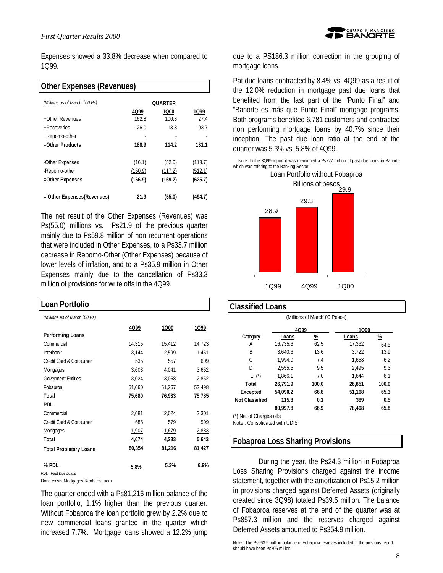Expenses showed a 33.8% decrease when compared to 1Q99.

| <b>Other Expenses (Revenues)</b> |         |                |         |
|----------------------------------|---------|----------------|---------|
| (Millions as of March '00 Ps)    |         | <b>OUARTER</b> |         |
|                                  | 4Q99    | 1Q00           | 1099    |
| +Other Revenues                  | 162.8   | 100.3          | 27.4    |
| +Recoveries                      | 26.0    | 13.8           | 103.7   |
| +Repomo-other                    |         |                |         |
| =Other Products                  | 188.9   | 114.2          | 131.1   |
| -Other Expenses                  | (16.1)  | (52.0)         | (113.7) |
| -Repomo-other                    | (150.9) | (117.2)        | (512.1) |
| =Other Expenses                  | (166.9) | (169.2)        | (625.7) |
| = Other Expenses(Revenues)       | 21.9    | (55.0)         | (494.7) |

The net result of the Other Expenses (Revenues) was Ps(55.0) millions vs. Ps21.9 of the previous quarter mainly due to Ps59.8 million of non recurrent operations that were included in Other Expenses, to a Ps33.7 million decrease in Repomo-Other (Other Expenses) because of lower levels of inflation, and to a Ps35.9 million in Other Expenses mainly due to the cancellation of Ps33.3 million of provisions for write offs in the 4Q99.

| Loan Portfolio                |        |        |        |
|-------------------------------|--------|--------|--------|
| (Millions as of March '00 Ps) |        |        |        |
|                               | 4Q99   | 1000   | 1Q99   |
| <b>Performing Loans</b>       |        |        |        |
| Commercial                    | 14,315 | 15,412 | 14,723 |
| Interbank                     | 3,144  | 2,599  | 1,451  |
| Credit Card & Consumer        | 535    | 557    | 609    |
| Mortgages                     | 3,603  | 4,041  | 3,652  |
| <b>Goverment Entities</b>     | 3,024  | 3,058  | 2,852  |
| Fobaproa                      | 51,060 | 51,267 | 52,498 |
| Total                         | 75,680 | 76,933 | 75,785 |
| <b>PDL</b>                    |        |        |        |
| Commercial                    | 2,081  | 2,024  | 2,301  |
| Credit Card & Consumer        | 685    | 579    | 509    |
| Mortgages                     | 1,907  | 1,679  | 2,833  |
| Total                         | 4,674  | 4,283  | 5,643  |
| <b>Total Propietary Loans</b> | 80,354 | 81,216 | 81,427 |
| % PDL                         | 5.8%   | 5.3%   | 6.9%   |
| PDL= Past Due Loans           |        |        |        |

Don't exists Mortgages Rents Esquem

The quarter ended with a Ps81,216 million balance of the loan portfolio, 1.1% higher than the previous quarter. Without Fobaproa the loan portfolio grew by 2.2% due to new commercial loans granted in the quarter which increased 7.7%. Mortgage loans showed a 12.2% jump



due to a PS186.3 million correction in the grouping of mortgage loans.

Pat due loans contracted by 8.4% vs. 4Q99 as a result of the 12.0% reduction in mortgage past due loans that benefited from the last part of the "Punto Final" and "Banorte es más que Punto Final" mortgage programs. Both programs benefited 6,781 customers and contracted non performing mortgage loans by 40.7% since their inception. The past due loan ratio at the end of the quarter was 5.3% vs. 5.8% of 4Q99.

Note: In the 3Q99 report it was mentioned a Ps727 million of past due loans in Banorte which was refering to the Banking Sector.



### **Classified Loans**

| (Millions of March 00 Pesos) |          |                       |        |          |  |
|------------------------------|----------|-----------------------|--------|----------|--|
| 4Q99<br>1000                 |          |                       |        |          |  |
| Category                     | Loans    | $\frac{\%}{\sqrt{2}}$ | Loans  | <u>%</u> |  |
| Α                            | 16.735.6 | 62.5                  | 17,332 | 64.5     |  |
| В                            | 3.640.6  | 13.6                  | 3,722  | 13.9     |  |
| C                            | 1.994.0  | 7.4                   | 1,658  | 6.2      |  |
| D                            | 2.555.5  | 9.5                   | 2.495  | 9.3      |  |
| $E(\star)$                   | 1,866.1  | 7.0                   | 1,644  | 6.1      |  |
| Total                        | 26.791.9 | 100.0                 | 26.851 | 100.0    |  |
| Excepted                     | 54.090.2 | 66.8                  | 51,168 | 65.3     |  |
| <b>Not Classified</b>        | 115.8    | 0.1                   | 389    | 0.5      |  |
|                              | 80.997.8 | 66.9                  | 78,408 | 65.8     |  |
| (*) Net of Charges offs      |          |                       |        |          |  |

Note : Consolidated with UDIS

### **Fobaproa Loss Sharing Provisions**

During the year, the Ps24.3 million in Fobaproa Loss Sharing Provisions charged against the income statement, together with the amortization of Ps15.2 million in provisions charged against Deferred Assets (originally created since 3Q98) totaled Ps39.5 million. The balance of Fobaproa reserves at the end of the quarter was at Ps857.3 million and the reserves charged against Deferred Assets amounted to Ps354.9 million.

Note : The Ps663.9 million balance of Fobaproa resreves included in the previous report should have been Ps705 million.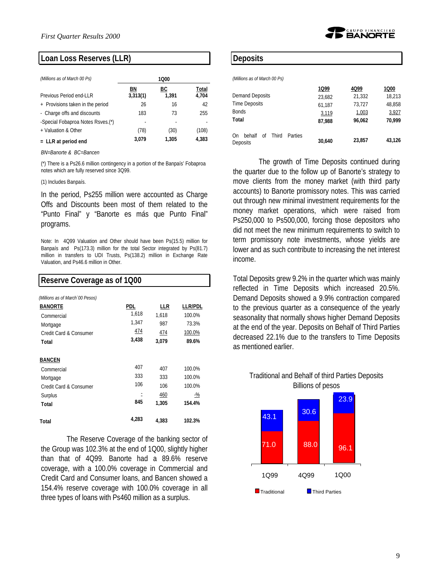

| (Millions as of March 00 Ps)      | 1000           |             |                |  |
|-----------------------------------|----------------|-------------|----------------|--|
| Previous Period end-LLR           | ΒN<br>3,313(1) | BС<br>1.391 | Total<br>4,704 |  |
| + Provisions taken in the period  | 26             | 16          | 42             |  |
| - Charge offs and discounts       | 183            | 73          | 255            |  |
| -Special Fobaproa Notes Rsves.(*) |                |             |                |  |
| + Valuation & Other               | (78)           | (30)        | (108)          |  |
| $=$ LLR at period end             | 3.079          | 1,305       | 4,383          |  |

*BN=Banorte & BC=Bancen*

(\*) There is a Ps26.6 million contingency in a portion of the Banpaís' Fobaproa notes which are fully reserved since 3Q99.

(1) Includes Banpaís.

In the period, Ps255 million were accounted as Charge Offs and Discounts been most of them related to the "Punto Final" y "Banorte es más que Punto Final" programs.

Note: In 4Q99 Valuation and Other should have been Ps(15.5) million for Banpaís and Ps(173.3) million for the total Sector integrated by Ps(81.7) million in transfers to UDI Trusts, Ps(138.2) million in Exchange Rate Valuation, and Ps46.6 million in Other.

| Reserve Coverage as of 1Q00      |       |       |                |  |  |
|----------------------------------|-------|-------|----------------|--|--|
| (Millions as of March '00 Pesos) |       |       |                |  |  |
| <b>BANORTE</b>                   | pdl   | LLR   | <b>LLR/PDL</b> |  |  |
| Commercial                       | 1,618 | 1.618 | 100.0%         |  |  |
| Mortgage                         | 1,347 | 987   | 73.3%          |  |  |
| Credit Card & Consumer           | 474   | 474   | 100.0%         |  |  |
| Total                            | 3,438 | 3,079 | 89.6%          |  |  |
| <b>BANCEN</b>                    |       |       |                |  |  |
| Commercial                       | 407   | 407   | 100.0%         |  |  |
| Mortgage                         | 333   | 333   | 100.0%         |  |  |
| Credit Card & Consumer           | 106   | 106   | 100.0%         |  |  |
| Surplus                          |       | 460   | <u>-%</u>      |  |  |
| Total                            | 845   | 1,305 | 154.4%         |  |  |
| Total                            | 4,283 | 4,383 | 102.3%         |  |  |

The Reserve Coverage of the banking sector of the Group was 102.3% at the end of 1Q00, slightly higher than that of 4Q99. Banorte had a 89.6% reserve coverage, with a 100.0% coverage in Commercial and Credit Card and Consumer loans, and Bancen showed a 154.4% reserve coverage with 100.0% coverage in all three types of loans with Ps460 million as a surplus.

### **Deposits**

*(Millions as of March 00 Ps)*

|                                                    | 1Q99   | 4Q99   | 1Q00   |
|----------------------------------------------------|--------|--------|--------|
| Demand Deposits                                    | 23,682 | 21,332 | 18.213 |
| <b>Time Deposits</b>                               | 61.187 | 73,727 | 48,858 |
| Bonds                                              | 3,119  | 1,003  | 3,927  |
| Total                                              | 87.988 | 96,062 | 70,999 |
| On<br>behalf<br>Third<br>Parties<br>of<br>Deposits | 30,640 | 23,857 | 43,126 |

DGRUPO FINANCIERO<br>1 **BANORTE** 

The growth of Time Deposits continued during the quarter due to the follow up of Banorte's strategy to move clients from the money market (with third party accounts) to Banorte promissory notes. This was carried out through new minimal investment requirements for the money market operations, which were raised from Ps250,000 to Ps500,000, forcing those depositors who did not meet the new minimum requirements to switch to term promissory note investments, whose yields are lower and as such contribute to increasing the net interest income.

Total Deposits grew 9.2% in the quarter which was mainly reflected in Time Deposits which increased 20.5%. Demand Deposits showed a 9.9% contraction compared to the previous quarter as a consequence of the yearly seasonality that normally shows higher Demand Deposits at the end of the year. Deposits on Behalf of Third Parties decreased 22.1% due to the transfers to Time Deposits as mentioned earlier.



Traditional and Behalf of third Parties Deposits Billions of pesos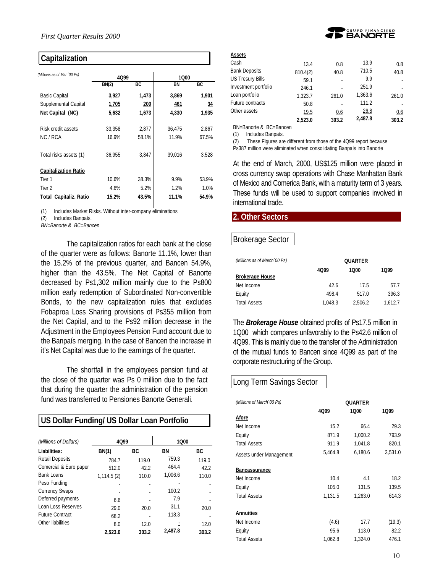| Capitalization |
|----------------|
|----------------|

| (Millions as of Mar. '00 Ps)  | 4Q99   |       | 1000   |       |  |
|-------------------------------|--------|-------|--------|-------|--|
|                               | BN(2)  | ВC    | BN     | BC    |  |
| <b>Basic Capital</b>          | 3,927  | 1,473 | 3,869  | 1,901 |  |
| Supplemental Capital          | 1,705  | 200   | 461    | 34    |  |
| Net Capital (NC)              | 5,632  | 1,673 | 4,330  | 1,935 |  |
| Risk credit assets            | 33,358 | 2,877 | 36,475 | 2,867 |  |
| NC/RCA                        | 16.9%  | 58.1% | 11.9%  | 67.5% |  |
| Total risks assets (1)        | 36,955 | 3,847 | 39,016 | 3,528 |  |
| <b>Capitalization Ratio</b>   |        |       |        |       |  |
| Tier 1                        | 10.6%  | 38.3% | 9.9%   | 53.9% |  |
| Tier 2                        | 4.6%   | 5.2%  | 1.2%   | 1.0%  |  |
| <b>Total Capitaliz. Ratio</b> | 15.2%  | 43.5% | 11.1%  | 54.9% |  |

(1) Includes Market Risks. Without inter-company eliminations

(2) Includes Banpaís.

*BN=Banorte & BC=Bancen*

The capitalization ratios for each bank at the close of the quarter were as follows: Banorte 11.1%, lower than the 15.2% of the previous quarter, and Bancen 54.9%, higher than the 43.5%. The Net Capital of Banorte decreased by Ps1,302 million mainly due to the Ps800 million early redemption of Subordinated Non-convertible Bonds, to the new capitalization rules that excludes Fobaproa Loss Sharing provisions of Ps355 million from the Net Capital, and to the Ps92 million decrease in the Adjustment in the Employees Pension Fund account due to the Banpaís merging. In the case of Bancen the increase in it's Net Capital was due to the earnings of the quarter.

The shortfall in the employees pension fund at the close of the quarter was Ps 0 million due to the fact that during the quarter the administration of the pension fund was transferred to Pensiones Banorte Generali.

| US Dollar Funding/ US Dollar Loan Portfolio |            |       |         |       |  |
|---------------------------------------------|------------|-------|---------|-------|--|
| (Millions of Dollars)                       | 4Q99       |       | 1000    |       |  |
| Liabilities:                                | BN(1)      | ВC    | ΒN      | ВC    |  |
| <b>Retail Deposits</b>                      | 784.7      | 119.0 | 759.3   | 119.0 |  |
| Comercial & Euro paper                      | 512.0      | 42.2  | 464.4   | 42.2  |  |
| Bank Loans                                  | 1,114.5(2) | 110.0 | 1,006.6 | 110.0 |  |
| Peso Funding                                |            |       |         |       |  |
| <b>Currency Swaps</b>                       |            |       | 100.2   |       |  |
| Deferred payments                           | 6.6        |       | 7.9     |       |  |
| Loan Loss Reserves                          | 29.0       | 20.0  | 31.1    | 20.0  |  |
| <b>Future Contract</b>                      | 68.2       |       | 118.3   |       |  |
| Other liabilities                           | 8.0        | 12.0  |         | 12.0  |  |
|                                             | 2,523.0    | 303.2 | 2,487.8 | 303.2 |  |



| Assets                  |          |       |         |       |
|-------------------------|----------|-------|---------|-------|
| Cash                    | 13.4     | 0.8   | 13.9    | 0.8   |
| <b>Bank Deposits</b>    | 810.4(2) | 40.8  | 710.5   | 40.8  |
| <b>US Tresury Bills</b> | 59.1     |       | 9.9     |       |
| Investment portfolio    | 246.1    |       | 251.9   |       |
| Loan portfolio          | 1.323.7  | 261.0 | 1,363.6 | 261.0 |
| Future contracts        | 50.8     |       | 111.2   |       |
| Other assets            | 19.5     | 0.6   | 26.8    | 0.6   |
|                         | 2.523.0  | 303.2 | 2,487.8 | 303.2 |

BN=Banorte & BC=Bancen

(1) Includes Banpaís.

(2) These Figures are different from those of the 4Q99 report because Ps387 million were aliminated when consolidating Banpaís into Banorte

At the end of March, 2000, US\$125 million were placed in cross currency swap operations with Chase Manhattan Bank of Mexico and Comerica Bank, with a maturity term of 3 years. These funds will be used to support companies involved in international trade.

### **2. Other Sectors**

# Brokerage Sector

| (Millions as of March 00 Ps) | <b>OUARTER</b> |         |         |  |
|------------------------------|----------------|---------|---------|--|
|                              | 4Q99           | 1000    | 1Q99    |  |
| <b>Brokerage House</b>       |                |         |         |  |
| Net Income                   | 426            | 17.5    | 57.7    |  |
| Equity                       | 498.4          | 517.0   | 396.3   |  |
| <b>Total Assets</b>          | 1.048.3        | 2.506.2 | 1.612.7 |  |

The *Brokerage House* obtained profits of Ps17.5 million in 1Q00 which compares unfavorably to the Ps42.6 million of 4Q99. This is mainly due to the transfer of the Administration of the mutual funds to Bancen since 4Q99 as part of the corporate restructuring of the Group.

# Long Term Savings Sector

| (Millions of March '00 Ps) | 4Q99    | QUARTER<br>1Q00 | 1Q99    |
|----------------------------|---------|-----------------|---------|
| <b>Afore</b>               |         |                 |         |
| Net Income                 | 15.2    | 66.4            | 29.3    |
| Equity                     | 871.9   | 1.000.2         | 793.9   |
| <b>Total Assets</b>        | 911.9   | 1.041.8         | 820.1   |
| Assets under Management    | 5,464.8 | 6,180.6         | 3,531.0 |
| <b>Bancassurance</b>       |         |                 |         |
| Net Income                 | 10.4    | 4.1             | 18.2    |
| Equity                     | 105.0   | 131.5           | 139.5   |
| <b>Total Assets</b>        | 1,131.5 | 1,263.0         | 614.3   |
| <b>Annuities</b>           |         |                 |         |
| Net Income                 | (4.6)   | 17.7            | (19.3)  |
| Equity                     | 95.6    | 113.0           | 82.2    |
| <b>Total Assets</b>        | 1,062.8 | 1,324.0         | 476.1   |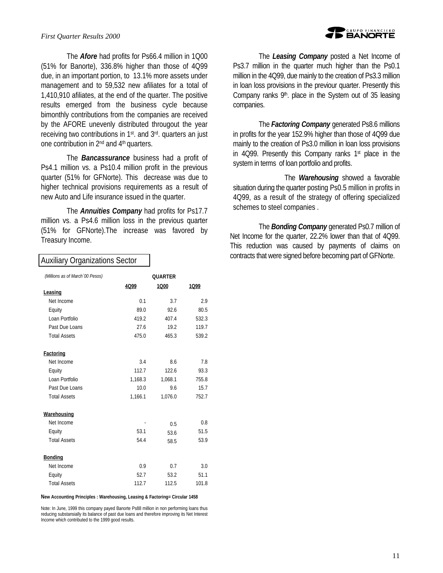#### *First Quarter Results 2000*

The *Afore* had profits for Ps66.4 million in 1Q00 (51% for Banorte), 336.8% higher than those of 4Q99 due, in an important portion, to 13.1% more assets under management and to 59,532 new afiliates for a total of 1,410,910 afiliates, at the end of the quarter. The positive results emerged from the business cycle because bimonthly contributions from the companies are received by the AFORE unevenly distributed througout the year receiving two contributions in 1st. and 3rd. quarters an just one contribution in 2nd and 4th quarters.

The *Bancassurance* business had a profit of Ps4.1 million vs. a Ps10.4 million profit in the previous quarter (51% for GFNorte). This decrease was due to higher technical provisions requirements as a result of new Auto and Life insurance issued in the quarter.

The *Annuities Company* had profits for Ps17.7 million vs. a Ps4.6 million loss in the previous quarter (51% for GFNorte).The increase was favored by Treasury Income.

# **BANORTE**

The *Leasing Company* posted a Net Income of Ps3.7 million in the quarter much higher than the Ps0.1 million in the 4Q99, due mainly to the creation of Ps3.3 million in loan loss provisions in the previour quarter. Presently this Company ranks  $9<sup>th</sup>$ . place in the System out of 35 leasing companies.

The *Factoring Company* generated Ps8.6 millions in profits for the year 152.9% higher than those of 4Q99 due mainly to the creation of Ps3.0 million in loan loss provisions in 4Q99. Presently this Company ranks  $1<sup>st</sup>$  place in the system in terms of loan portfolio and profits.

The *Warehousing* showed a favorable situation during the quarter posting Ps0.5 million in profits in 4Q99, as a result of the strategy of offering specialized schemes to steel companies .

The *Bonding Company* generated Ps0.7 million of Net Income for the quarter, 22.2% lower than that of 4Q99. This reduction was caused by payments of claims on contracts that were signed before becoming part of GFNorte.

#### Auxiliary Organizations Sector

| (Millions as of March '00 Pesos) | <b>OUARTER</b> |         |       |
|----------------------------------|----------------|---------|-------|
|                                  | 4Q99           | 1000    | 1Q99  |
| Leasing                          |                |         |       |
| Net Income                       | 0.1            | 3.7     | 2.9   |
| Equity                           | 89.0           | 92.6    | 80.5  |
| Loan Portfolio                   | 419.2          | 407.4   | 532.3 |
| Past Due Loans                   | 27.6           | 19.2    | 119.7 |
| <b>Total Assets</b>              | 475.0          | 465.3   | 539.2 |
| <b>Factoring</b>                 |                |         |       |
| Net Income                       | 3.4            | 8.6     | 7.8   |
| Equity                           | 112.7          | 122.6   | 93.3  |
| Loan Portfolio                   | 1,168.3        | 1,068.1 | 755.8 |
| Past Due Loans                   | 10.0           | 9.6     | 15.7  |
| <b>Total Assets</b>              | 1.166.1        | 1.076.0 | 752.7 |
| Warehousing                      |                |         |       |
| Net Income                       |                | 0.5     | 0.8   |
| Equity                           | 53.1           | 53.6    | 51.5  |
| <b>Total Assets</b>              | 54.4           | 58.5    | 53.9  |
| <b>Bonding</b>                   |                |         |       |
| Net Income                       | 0.9            | 0.7     | 3.0   |
| Equity                           | 52.7           | 53.2    | 51.1  |
| <b>Total Assets</b>              | 112.7          | 112.5   | 101.8 |

#### **New Accounting Principles : Warehousing, Leasing & Factoring= Circular 1458**

Note: In June, 1999 this company payed Banorte Ps88 million in non performing loans thus reducing substansially its balance of past due loans and therefore improving its Net Interest Income which contributed to the 1999 good results.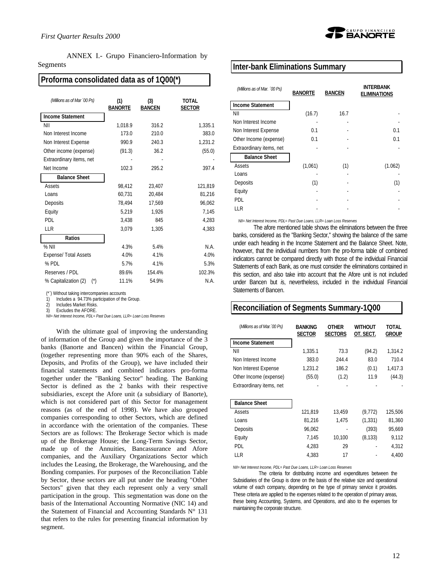ANNEX I.- Grupo Financiero-Information by Segments

### **Proforma consolidated data as of 1Q00(\*)**

| (Millions as of Mar '00 Ps)            | (1)<br><b>BANORTE</b> | (3)<br><b>BANCEN</b> | <b>TOTAL</b><br><b>SECTOR</b> |
|----------------------------------------|-----------------------|----------------------|-------------------------------|
| <b>Income Statement</b>                |                       |                      |                               |
| NII                                    | 1,018.9               | 316.2                | 1,335.1                       |
| Non Interest Income                    | 173.0                 | 210.0                | 383.0                         |
| Non Interest Expense                   | 990.9                 | 240.3                | 1,231.2                       |
| Other income (expense)                 | (91.3)                | 36.2                 | (55.0)                        |
| Extraordinary items, net               |                       |                      |                               |
| Net Income                             | 102.3                 | 295.2                | 397.4                         |
| <b>Balance Sheet</b>                   |                       |                      |                               |
| Assets                                 | 98,412                | 23,407               | 121,819                       |
| Loans                                  | 60,731                | 20,484               | 81,216                        |
| Deposits                               | 78,494                | 17,569               | 96,062                        |
| Equity                                 | 5,219                 | 1,926                | 7,145                         |
| <b>PDL</b>                             | 3,438                 | 845                  | 4,283                         |
| LLR                                    | 3,079                 | 1,305                | 4,383                         |
| Ratios                                 |                       |                      |                               |
| $%$ NII                                | 4.3%                  | 5.4%                 | N.A.                          |
| Expense/ Total Assets                  | 4.0%                  | 4.1%                 | 4.0%                          |
| % PDL                                  | 5.7%                  | 4.1%                 | 5.3%                          |
| Reserves / PDL                         | 89.6%                 | 154.4%               | 102.3%                        |
| % Capitalization (2)<br>$(\tilde{\ })$ | 11.1%                 | 54.9%                | N.A.                          |

(\*¨) Without taking intercompanies accounts

1) Includes a 94.73% participation of the Group.<br>2) Includes Market Risks

2) Includes Market Risks.

Excludes the AFORE.

*NII= Net Interest Income, PDL= Past Due Loans, LLR= Loan Loss Reserves*

With the ultimate goal of improving the understanding of information of the Group and given the importance of the 3 banks (Banorte and Bancen) within the Financial Group, (together representing more than 90% each of the Shares, Deposits, and Profits of the Group), we have included their financial statements and combined indicators pro-forma together under the "Banking Sector" heading. The Banking Sector is defined as the 2 banks with their respective subsidiaries, except the Afore unit (a subsidiary of Banorte), which is not considered part of this Sector for management reasons (as of the end of 1998). We have also grouped companies corresponding to other Sectors, which are defined in accordance with the orientation of the companies. These Sectors are as follows: The Brokerage Sector which is made up of the Brokerage House; the Long-Term Savings Sector, made up of the Annuities, Bancassurance and Afore companies, and the Auxiliary Organizations Sector which includes the Leasing, the Brokerage, the Warehousing, and the Bonding companies. For purposes of the Reconciliation Table by Sector, these sectors are all put under the heading "Other Sectors" given that they each represent only a very small participation in the group. This segmentation was done on the basis of the International Accounting Normative (NIC 14) and the Statement of Financial and Accounting Standards  $N^{\circ}$  131 that refers to the rules for presenting financial information by segment.



### **Inter-bank Eliminations Summary**

| (Millions as of Mar. '00 Ps) | <b>BANORTE</b> | <b>BANCEN</b> | <b>INTERBANK</b><br><b>ELIMINATIONS</b> |
|------------------------------|----------------|---------------|-----------------------------------------|
| <b>Income Statement</b>      |                |               |                                         |
| NII                          | (16.7)         | 16.7          |                                         |
| Non Interest Income          |                |               |                                         |
| Non Interest Expense         | 0.1            |               | 0.1                                     |
| Other Income (expense)       | 0.1            |               | 0.1                                     |
| Extraordinary items, net     |                |               |                                         |
| <b>Balance Sheet</b>         |                |               |                                         |
| Assets                       | (1,061)        | (1)           | (1.062)                                 |
| Loans                        |                |               |                                         |
| Deposits                     | (1)            |               | (1)                                     |
| Equity                       |                |               |                                         |
| <b>PDL</b>                   |                |               |                                         |
| LLR                          |                |               |                                         |

*NII= Net Interest Income, PDL= Past Due Loans, LLR= Loan Loss Reserves*

The afore mentioned table shows the eliminations between the three banks, considered as the "Banking Sector," showing the balance of the same under each heading in the Income Statement and the Balance Sheet. Note, however, that the individual numbers from the pro-forma table of combined indicators cannot be compared directly with those of the individual Financial Statements of each Bank, as one must consider the eliminations contained in this section, and also take into account that the Afore unit is not included under Bancen but *i*s, nevertheless, included in the individual Financial Statements of Bancen.

### **Reconciliation of Segments Summary-1Q00**

| (Millions as of Mar. '00 Ps) | <b>BANKING</b><br><b>SECTOR</b> | <b>OTHER</b><br><b>SECTORS</b> | <b>WITHOUT</b><br>OT. SECT. | TOTAL<br>Group |
|------------------------------|---------------------------------|--------------------------------|-----------------------------|----------------|
| <b>Income Statement</b>      |                                 |                                |                             |                |
| NII                          | 1,335.1                         | 73.3                           | (94.2)                      | 1,314.2        |
| Non Interest Income          | 383.0                           | 244.4                          | 83.0                        | 710.4          |
| Non Interest Expense         | 1,231.2                         | 186.2                          | (0.1)                       | 1,417.3        |
| Other Income (expense)       | (55.0)                          | (1.2)                          | 11.9                        | (44.3)         |
| Extraordinary items, net     |                                 |                                |                             |                |
|                              |                                 |                                |                             |                |
| <b>Balance Sheet</b>         |                                 |                                |                             |                |
| Assets                       | 121,819                         | 13,459                         | (9, 772)                    | 125,506        |
| Loans                        | 81,216                          | 1.475                          | (1, 331)                    | 81,360         |
| Deposits                     | 96,062                          |                                | (393)                       | 95,669         |
| Equity                       | 7,145                           | 10,100                         | (8, 133)                    | 9,112          |
| PDL                          | 4,283                           | 29                             |                             | 4.312          |
| LLR                          | 4.383                           | 17                             |                             | 4,400          |

*NII= Net Interest Income, PDL= Past Due Loans, LLR= Loan Loss Reserves*

The criteria for distributing income and expenditures between the Subsidiaries of the Group is done on the basis of the relative size and operational volume of each company, depending on the type of primary service it provides. These criteria are applied to the expenses related to the operation of primary areas, these being Accounting, Systems, and Operations, and also to the expenses for maintaining the corporate structure.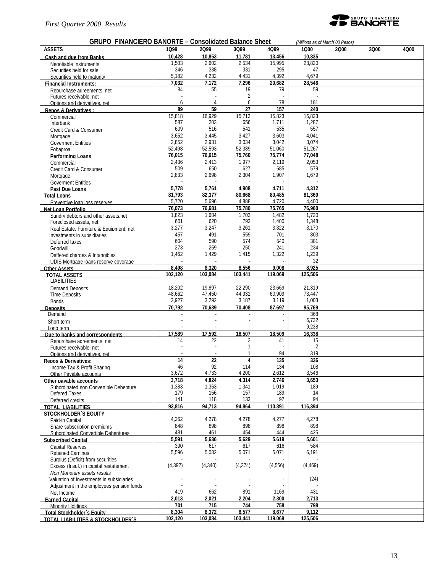#### *First Quarter 2000 Results*



#### **GRUPO FINANCIERO BANORTE – Consolidated Balance Sheet** *(Millions as of March´00 Pesos)* **ASSETS 1Q99 2Q99 3Q99 4Q99 1Q00 2Q00 3Q00 4Q00 Cash and due from Banks 10,428 10,853 11,781 13,456 10,835** Negotiable Instruments 1,503 2,602 2,534 15,995 23,820 Securities held for sale 31 295 331 331 47<br>
Securities held to maturity 31 35 35 331 4,392 4,232 4,232 4,331 4,392 4,679 Securities held to maturity<br> **S** 5,182 4,232 4,431 4,392 4,379 4,679<br> **1,032** 7,172 7,296 20,682 28,546 **Financial Instruments: 7,032 7,172 7,296 20,682 28,546** Repurchase agreements, net  $\begin{array}{ccc} 84 & 55 & 19 \\ 54 & 55 & 39 \\ 7 & 2 & 39 \end{array}$ Futures receivable, net the state of the state of the state of the state of the state of the state of the state of the state of the state of the state of the state of the state of the state of the state of the state of the Options and derivatives, net 181<br> **Solutions and derivatives** between the contract of the contract of the contract of the contract of the contract of the contract of the contract of the contract of the contract of the cont **Repos & Derivatives : 89 89 59 27 157 240 210 210 210 210 210 210 210 210 210 210 210 210 210 210 210 210 210 210 210 210 210 210 210 210 210 210 210 210** Commercial 15,818 16,929 15,713 15,823 16,823 Interbank 587 203 656 1,711 1,287 Credit Card & Consumer  $\begin{array}{cccc} 609 & 516 & 541 & 535 & 557 \\ -809 & 3,652 & 3,445 & 3,427 & 3,603 & 4,041 \end{array}$ Mortgage 3,652 3,445 3,427 3,603 4,041 Government Entities 1.074 Space 1.0852 2.931 3,034 3,042 3,074<br>
Fobaproa 51,060 51,267 52,399 51,060 51,267 Fobaproa 52,498 52,593 52,389 51,060 51,267 **Performing Loans 76,015 76,615 75,760 75,774 77,048** Commercial 2,436 2,413 1,977 2,119 2,053 Credit Card & Consumer  $\begin{array}{cccc} 509 & 650 & 627 & 685 & 579 \\ -2,833 & 2,698 & 2,304 & 1,907 & 1,679 \end{array}$ Mortgage 2,833 2,698 2,304 1,907 1,679 Goverment Entities - - - - - **Past Due Loans 5,778 5,761 4,908 4,711 4,312 Total Loans 81,793 82,377 80,668 80,485 81,360** Preventive loan loss reserves 6,720 5,696 4,888 4,720 4,400<br>19 1 1 1 2 1 2 3 3 4,400 5,696 1 2 3 4,400 5,780 75,785 76,960 1 3 4,400 **Net Loan Portfolio 76,073 76,681 75,780 75,765 76,960** Sundry debtors and other assets.net 1,823 1,684 1,703 1,482 1,720<br>Foreclosed assets, net 1,348 1,348 601 620 793 1,400 1,348 Foreclosed assets, net 1,348<br>
Real Fstate. Furniture & Fquipment. net 1,3277 1,247 1,261 3,322 3,170 Real Estate, Furniture & Equipment, net 3,277 3,247 3,261 3,322 3,170 Investments in subsidiaries 1803<br>
1803 1916 1917 1917 1959 574 540 581 1918<br>
1817 1920 574 540 581 Deferred taxes 604 590 574 540 381 Goodwill 273 259 250 241 234 Deffered charges & Intangibles<br>
1,462 1,429 1,415 1,322 1,239<br>
1DIS Mortgage loans reserve coverage UDIS Mortgage loans reserve coverage - - - - 32 **Other Assets 8,498 8,320 8,556 9,008 8,925 TOTAL ASSETS 102,120 103,084 103,441 119,069 125,506** LIABILITIES Demand Deposits 18,202 19,897 22,290 23,669 21,319<br>18,662 47,450 44,931 60,909 73,447 Time Deposits 48,662 47,450 44,931 60,909 73,447 Bonds 3,927 3,292 3,187 3,119 1,003 **Deposits 70,792 70,639 70,408 87,697 95,769** Demand  $\sim$  368 Short term  $6.732$ Long term - - - - 9,238 **Due to banks and correspondents 17,589 17,592 18,507 18,509 16,338** Repurchase agreements, net 14 14 22 2 41 15<br>Futures receivable net 2 Futures receivable, net the state of the state of the state of the state of the state of the state of the state of the state of the state of the state of the state of the state of the state of the state of the state of the Options and derivatives, net - - 1 94 319 **Repos & Derivatives: 14 122 4 135 336 1 160 160 160 160 160 160 160 160 160 160 160 160 160 160 160 160 160 160 160 160 160 160 160 160 160 160 160 160** Income Tax & Profit Sharing  $\begin{array}{cccc} 100 & 46 & 92 & 114 & 134 & 108 \\ 111 & 134 & 134 & 108 \\ 111 & 111 & 134 & 108 \\ 111 & 111 & 111 & 111 \end{array}$ Other Payable accounts 200 2,612<br> **1.733** 4.200 2,612<br> **1.824** 4,314 2,746 **Other payable accounts 3,718 4,824 4,314 2,746 3,653** Subordinated non Convertible Debenture **1,383** 1,363 1,341 1,019 189<br>119 189 189 189 1910 179 156 157 189 Defered Taxes 179 156 157 189 14 Deferred credits **141** 118 133 97 94<br>17AL LIABILITIES 93,816 94,713 94,864 110,391 116,394 **TOTAL LIABILITIES 93,816 94,713 94,864 110,391 116,394 STOCKHOLDER´S EQUITY**<br>Paid-in Capital Paid-in Capital 4,262 4,278 4,278 4,277 4,278 Share subscription premiums 848 898 898 898 898 Subordinated Convertible Debentures 481 461 454 444 425 **Subscribed Capital 5,591 5,636 5,629 5,619 5,601** Capital Reserves 390 617 617 616 584 Retained Earnings Surplus (Deficit) from securities<br>
Excess (Insuf.) in capital restatement (4.392) (4.340) (4.374) (4.556) (4.469) Excess (Insuf.) in capital restatement *Non Monetary assets results* Valuation of Investments in subsidiaries and the state of the state of the state of the state of the state of the state of the state of the state of the state of the state of the state of the state of the state of the stat Adjustment in the employees pension funds - - - - - Net Income 419 662 891 1169 431 **Earned Capital 2,013 2,021 2,204 2,300 2,713** Minority Holdings **701 715 744 758 798 Total Stockholder´s Equity 8,304 8,372 8,577 8,677 9,112 TOTAL LIABILITIES & STOCKHOLDER´S 102,120 103,084 103,441 119,069 125,506**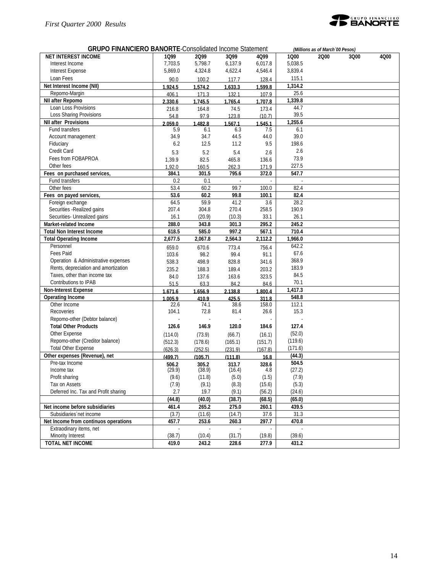

| <b>GRUPO FINANCIERO BANORTE-Consolidated Income Statement</b> |         |         | (Millions as of March 00 Pesos) |         |         |      |      |      |
|---------------------------------------------------------------|---------|---------|---------------------------------|---------|---------|------|------|------|
| <b>NET INTEREST INCOME</b>                                    | 1Q99    | 2099    | 3Q99                            | 4Q99    | 1Q00    | 2000 | 3Q00 | 4Q00 |
| Interest Income                                               | 7,703.5 | 5,798.7 | 6,137.9                         | 6,017.8 | 5.038.5 |      |      |      |
| <b>Interest Expense</b>                                       | 5,869.0 | 4,324.8 | 4,622.4                         | 4,546.4 | 3,839.4 |      |      |      |
| Loan Fees                                                     | 90.0    | 100.2   | 117.7                           | 128.4   | 115.1   |      |      |      |
| Net Interest Income (NII)                                     | 1.924.5 | 1.574.2 | 1.633.3                         | 1.599.8 | 1,314.2 |      |      |      |
| Repomo-Margin                                                 | 406.1   | 171.3   | 132.1                           | 107.9   | 25.6    |      |      |      |
| NII after Repomo                                              | 2.330.6 | 1.745.5 | 1.765.4                         | 1.707.8 | 1,339.8 |      |      |      |
| Loan Loss Provisions                                          | 216.8   | 164.8   | 74.5                            | 173.4   | 44.7    |      |      |      |
| Loss Sharing Provisions                                       | 54.8    | 97.9    | 123.8                           | (10.7)  | 39.5    |      |      |      |
| <b>NII after Provisions</b>                                   | 2.059.0 | 1.482.8 | 1.567.1                         | 1.545.1 | 1,255.6 |      |      |      |
| Fund transfers                                                | 5.9     | 6.1     | 6.3                             | 7.5     | 6.1     |      |      |      |
| Account management                                            | 34.9    | 34.7    | 44.5                            | 44.0    | 39.0    |      |      |      |
| Fiduciary                                                     | 6.2     | 12.5    | 11.2                            | 9.5     | 198.6   |      |      |      |
| Credit Card                                                   | 5.3     | 5.2     | 5.4                             | 2.6     | 2.6     |      |      |      |
| Fees from FOBAPROA                                            | 1,39.9  | 82.5    | 465.8                           | 136.6   | 73.9    |      |      |      |
| Other fees                                                    | 1.92.0  | 160.5   | 262.3                           | 171.9   | 227.5   |      |      |      |
| Fees on purchased services,                                   | 384.1   | 301.5   | 795.6                           | 372.0   | 547.7   |      |      |      |
| Fund transfers                                                | 0.2     | 0.1     |                                 |         |         |      |      |      |
| Other fees                                                    | 53.4    | 60.2    | 99.7                            | 100.0   | 82.4    |      |      |      |
| Fees on payed services,                                       | 53.6    | 60.2    | 99.8                            | 100.1   | 82.4    |      |      |      |
| Foreign exchange                                              | 64.5    | 59.9    | 41.2                            | 3.6     | 28.2    |      |      |      |
| Securities - Realized gains                                   | 207.4   | 304.8   | 270.4                           | 258.5   | 190.9   |      |      |      |
| Securities- Unrealized gains                                  | 16.1    | (20.9)  | (10.3)                          | 33.1    | 26.1    |      |      |      |
| Market-related Income                                         | 288.0   | 343.8   | 301.3                           | 295.2   | 245.2   |      |      |      |
| <b>Total Non Interest Income</b>                              | 618.5   | 585.0   | 997.2                           | 567.1   | 710.4   |      |      |      |
| <b>Total Operating Income</b>                                 | 2,677.5 | 2,067.8 | 2,564.3                         | 2,112.2 | 1,966.0 |      |      |      |
| Personnel                                                     | 659.0   | 670.6   | 773.4                           | 756.4   | 642.2   |      |      |      |
| <b>Fees Paid</b>                                              | 103.6   | 98.2    | 99.4                            | 91.1    | 67.6    |      |      |      |
| Operation & Administrative expenses                           | 538.3   | 498.9   | 828.8                           | 341.6   | 368.9   |      |      |      |
| Rents, depreciation and amortization                          | 235.2   | 188.3   | 189.4                           | 203.2   | 183.9   |      |      |      |
| Taxes, other than income tax                                  | 84.0    | 137.6   | 163.6                           | 323.5   | 84.5    |      |      |      |
| Contributions to IPAB                                         | 51.5    | 63.3    | 84.2                            | 84.6    | 70.1    |      |      |      |
| <b>Non-Interest Expense</b>                                   | 1.671.6 | 1.656.9 | 2.138.8                         | 1.800.4 | 1,417.3 |      |      |      |
| <b>Operating Income</b>                                       | 1.005.9 | 410.9   | 425.5                           | 311.8   | 548.8   |      |      |      |
| Other Income                                                  | 22.6    | 74.1    | 38.6                            | 158.0   | 112.1   |      |      |      |
| Recoveries                                                    | 104.1   | 72.8    | 81.4                            | 26.6    | 15.3    |      |      |      |
| Repomo-other (Debtor balance)                                 |         |         |                                 |         |         |      |      |      |
| <b>Total Other Products</b>                                   | 126.6   | 146.9   | 120.0                           | 184.6   | 127.4   |      |      |      |
| Other Expense                                                 | (114.0) | (73.9)  | (66.7)                          | (16.1)  | (52.0)  |      |      |      |
| Repomo-other (Creditor balance)                               | (512.3) | (178.6) | (165.1)                         | (151.7) | (119.6) |      |      |      |
| <b>Total Other Expense</b>                                    | (626.3) | (252.5) | (231.9)                         | (167.8) | (171.6) |      |      |      |
| Other expenses (Revenue), net                                 | (499.7) | (105.7) | (111.8)                         | 16.8    | (44.3)  |      |      |      |
| Pre-tax Income                                                | 506.2   | 305.2   | 313.7                           | 328.6   | 504.5   |      |      |      |
| Income tax                                                    | (29.9)  | (38.9)  | (16.4)                          | 4.8     | (27.2)  |      |      |      |
| Profit sharing                                                | (9.6)   | (11.8)  | (5.0)                           | (1.5)   | (7.9)   |      |      |      |
| Tax on Assets                                                 | (7.9)   | (9.1)   | (8.3)                           | (15.6)  | (5.3)   |      |      |      |
| Deferred Inc. Tax and Profit sharing                          | 2.7     | 19.7    | (9.1)                           | (56.2)  | (24.6)  |      |      |      |
|                                                               | (44.8)  | (40.0)  | (38.7)                          | (68.5)  | (65.0)  |      |      |      |
| Net income before subsidiaries                                | 461.4   | 265.2   | 275.0                           | 260.1   | 439.5   |      |      |      |
| Subsidiaries net income                                       | (3.7)   | (11.6)  | (14.7)                          | 37.6    | 31.3    |      |      |      |
| Net Income from continuos operations                          | 457.7   | 253.6   | 260.3                           | 297.7   | 470.8   |      |      |      |
| Extraodinary items, net                                       |         |         |                                 |         |         |      |      |      |
| Minority Interest                                             | (38.7)  | (10.4)  | (31.7)                          | (19.8)  | (39.6)  |      |      |      |
| <b>TOTAL NET INCOME</b>                                       | 419.0   | 243.2   | 228.6                           | 277.9   | 431.2   |      |      |      |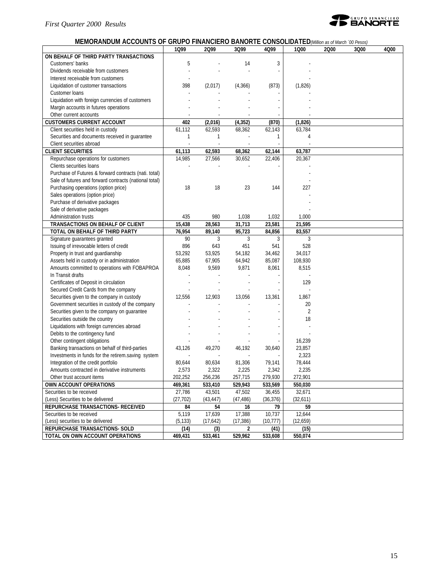

### **MEMORANDUM ACCOUNTS OF GRUPO FINANCIERO BANORTE CONSOLIDATED***(Million as of March ´00 Pesos)*

|                                                        | 1Q99      | 2Q99         | 3Q99      | 4Q99         | 1Q00           | 2000 | 3Q00 | 4Q00 |
|--------------------------------------------------------|-----------|--------------|-----------|--------------|----------------|------|------|------|
| ON BEHALF OF THIRD PARTY TRANSACTIONS                  |           |              |           |              |                |      |      |      |
| Customers' banks                                       | 5         |              | 14        | 3            |                |      |      |      |
| Dividends receivable from customers                    |           |              |           |              |                |      |      |      |
| Interest receivable from customers                     |           |              |           |              |                |      |      |      |
| Liquidation of customer transactions                   | 398       | (2,017)      | (4,366)   | (873)        | (1,826)        |      |      |      |
| Customer loans                                         |           |              |           |              |                |      |      |      |
| Liquidation with foreign currencies of customers       |           |              |           |              |                |      |      |      |
| Margin accounts in futures operations                  |           |              |           |              |                |      |      |      |
| Other current accounts                                 |           |              |           |              |                |      |      |      |
| <b>CUSTOMERS CURRENT ACCOUNT</b>                       | 402       | (2,016)      | (4, 352)  | (870)        | (1,826)        |      |      |      |
| Client securities held in custody                      | 61,112    | 62,593       | 68,362    | 62,143       | 63,784         |      |      |      |
| Securities and documents received in guarantee         | 1         | 1            |           | 1            | 4              |      |      |      |
| Client securities abroad                               |           |              |           |              |                |      |      |      |
| <b>CLIENT SECURITIES</b>                               | 61,113    | 62,593       | 68,362    | 62,144       | 63,787         |      |      |      |
| Repurchase operations for customers                    | 14,985    | 27,566       | 30,652    | 22,406       | 20,367         |      |      |      |
| Clients securities loans                               |           |              |           |              |                |      |      |      |
| Purchase of Futures & forward contracts (nati. total)  |           |              |           |              |                |      |      |      |
| Sale of futures and forward contracts (national total) |           |              |           |              |                |      |      |      |
| Purchasing operations (option price)                   | 18        | 18           | 23        | 144          | 227            |      |      |      |
| Sales operations (option price)                        |           |              |           |              |                |      |      |      |
| Purchase of derivative packages                        |           |              |           |              |                |      |      |      |
| Sale of derivative packages                            |           |              |           |              |                |      |      |      |
| Administration trusts                                  | 435       | 980          | 1,038     | 1,032        | 1,000          |      |      |      |
| TRANSACTIONS ON BEHALF OF CLIENT                       | 15,438    | 28,563       | 31,713    | 23,581       | 21,595         |      |      |      |
| TOTAL ON BEHALF OF THIRD PARTY                         | 76,954    | 89,140       | 95,723    | 84,856       | 83,557         |      |      |      |
| Signature guarantees granted                           | 90        | 3            | 3         | 3            | 3              |      |      |      |
| Issuing of irrevocable letters of credit               | 896       | 643          | 451       | 541          | 528            |      |      |      |
| Property in trust and guardianship                     | 53,292    | 53,925       | 54,182    | 34,462       | 34,017         |      |      |      |
| Assets held in custody or in administration            | 65,885    | 67,905       | 64,942    | 85,087       | 108,930        |      |      |      |
| Amounts committed to operations with FOBAPROA          | 8,048     | 9,569        | 9,871     | 8,061        | 8,515          |      |      |      |
| In Transit drafts                                      |           |              |           |              |                |      |      |      |
| Certificates of Deposit in circulation                 |           |              |           |              | 129            |      |      |      |
| Secured Credit Cards from the company                  |           |              |           |              |                |      |      |      |
| Securities given to the company in custody             | 12,556    | 12,903       | 13,056    | 13,361       | 1,867          |      |      |      |
| Government securities in custody of the company        |           |              |           |              | 20             |      |      |      |
| Securities given to the company on guarantee           |           |              |           |              | $\overline{2}$ |      |      |      |
| Securities outside the country                         |           |              |           |              | 18             |      |      |      |
| Liquidations with foreign currencies abroad            |           |              |           |              |                |      |      |      |
| Debits to the contingency fund                         |           |              |           |              |                |      |      |      |
| Other contingent obligations                           |           |              |           |              | 16,239         |      |      |      |
| Banking transactions on behalf of third-parties        | 43,126    | 49,270       | 46,192    | 30,640       | 23,857         |      |      |      |
| Investments in funds for the retirem.saving system     |           |              |           |              | 2,323          |      |      |      |
| Integration of the credit portfolio                    | 80,644    | 80,634       | 81,306    | 79,141       | 78,444         |      |      |      |
| Amounts contracted in derivative instruments           | 2,573     | 2,322        | 2,225     | 2,342        | 2,235          |      |      |      |
| Other trust account items                              | 202,252   | 256,236      | 257,715   | 279,930      | 272,901        |      |      |      |
| OWN ACCOUNT OPERATIONS                                 | 469,361   | 533,410      | 529,943   | 533,569      | 550,030        |      |      |      |
| Securities to be received                              | 27,786    | 43,501       | 47,502    | 36,455       | 32.671         |      |      |      |
| (Less) Securities to be delivered                      | (27, 702) | (43, 447)    | (47, 486) | (36, 376)    | (32,611)       |      |      |      |
| REPURCHASE TRANSACTIONS- RECEIVED                      | 84        |              | 16        |              | 59             |      |      |      |
| Securities to be received                              | 5,119     | 54<br>17,639 | 17,388    | 79<br>10,737 | 12,644         |      |      |      |
| (Less) securities to be delivered                      | (5, 133)  | (17,642)     | (17, 386) | (10, 777)    | (12,659)       |      |      |      |
| REPURCHASE TRANSACTIONS- SOLD                          | (14)      | (3)          | 2         | (41)         | (15)           |      |      |      |
| TOTAL ON OWN ACCOUNT OPERATIONS                        | 469,431   | 533,461      | 529,962   | 533,608      | 550,074        |      |      |      |
|                                                        |           |              |           |              |                |      |      |      |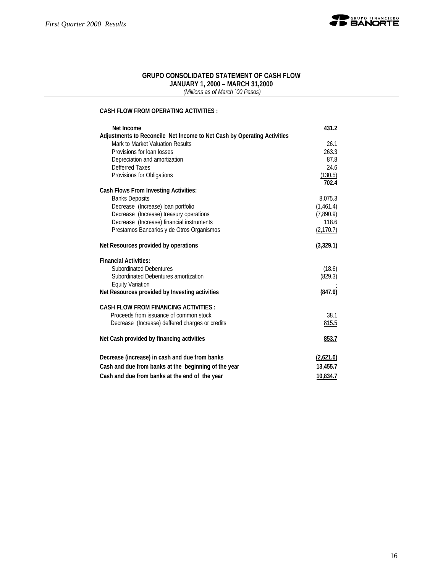

#### **GRUPO CONSOLIDATED STATEMENT OF CASH FLOW JANUARY 1, 2000 – MARCH 31,2000**

 *(Millions as of March ´00 Pesos)*

### **CASH FLOW FROM OPERATING ACTIVITIES :**

| Net Income                                                              | 431.2      |
|-------------------------------------------------------------------------|------------|
| Adjustments to Reconcile Net Income to Net Cash by Operating Activities |            |
| Mark to Market Valuation Results                                        | 26.1       |
| Provisions for loan losses                                              | 263.3      |
| Depreciation and amortization                                           | 87.8       |
| Defferred Taxes                                                         | 24.6       |
| Provisions for Obligations                                              | (130.5)    |
|                                                                         | 702.4      |
| <b>Cash Flows From Investing Activities:</b>                            |            |
| <b>Banks Deposits</b>                                                   | 8,075.3    |
| Decrease (Increase) loan portfolio                                      | (1,461.4)  |
| Decrease (Increase) treasury operations                                 | (7,890.9)  |
| Decrease (Increase) financial instruments                               | 118.6      |
| Prestamos Bancarios y de Otros Organismos                               | (2, 170.7) |
| Net Resources provided by operations                                    | (3,329.1)  |
| <b>Financial Activities:</b>                                            |            |
| <b>Subordinated Debentures</b>                                          | (18.6)     |
| Subordinated Debentures amortization                                    | (829.3)    |
| <b>Equity Variation</b>                                                 |            |
| Net Resources provided by Investing activities                          | (847.9)    |
| <b>CASH FLOW FROM FINANCING ACTIVITIES:</b>                             |            |
| Proceeds from issuance of common stock                                  | 38.1       |
| Decrease (Increase) deffered charges or credits                         | 815.5      |
| Net Cash provided by financing activities                               | 853.7      |
|                                                                         |            |
| Decrease (increase) in cash and due from banks                          | (2,621.0)  |
| Cash and due from banks at the beginning of the year                    | 13,455.7   |
| Cash and due from banks at the end of the year                          | 10.834.7   |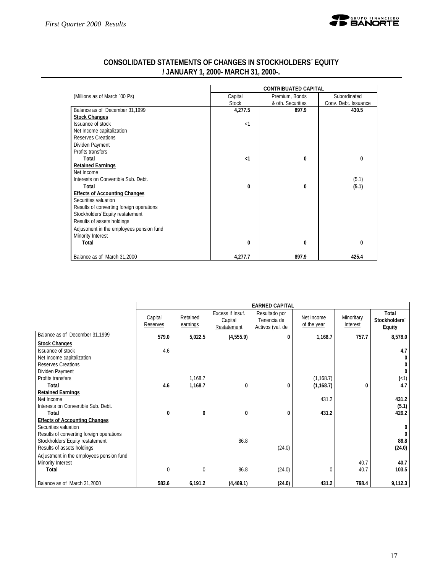

|                                          |              | <b>CONTRIBUATED CAPITAL</b> |                      |
|------------------------------------------|--------------|-----------------------------|----------------------|
| (Millions as of March '00 Ps)            | Capital      | Premium, Bonds              | Subordinated         |
|                                          | <b>Stock</b> | & oth. Securities           | Conv. Debt. Issuance |
| Balance as of December 31,1999           | 4,277.5      | 897.9                       | 430.5                |
| <b>Stock Changes</b>                     |              |                             |                      |
| Issuance of stock                        | $\leq$ 1     |                             |                      |
| Net Income capitalization                |              |                             |                      |
| Reserves Creations                       |              |                             |                      |
| Dividen Payment                          |              |                             |                      |
| Profits transfers                        |              |                             |                      |
| Total                                    | $\leq$ 1     | 0                           | 0                    |
| <b>Retained Earnings</b>                 |              |                             |                      |
| Net Income                               |              |                             |                      |
| Interests on Convertible Sub. Debt.      |              |                             | (5.1)                |
| Total                                    | 0            | 0                           | (5.1)                |
| <b>Effects of Accounting Changes</b>     |              |                             |                      |
| Securities valuation                     |              |                             |                      |
| Results of converting foreign operations |              |                             |                      |
| Stockholders Equity restatement          |              |                             |                      |
| Results of assets holdings               |              |                             |                      |
| Adjustment in the employees pension fund |              |                             |                      |
| Minority Interest                        |              |                             |                      |
| Total                                    | 0            | 0                           | 0                    |
| Balance as of March 31,2000              | 4,277.7      | 897.9                       | 425.4                |

### **CONSOLIDATED STATEMENTS OF CHANGES IN STOCKHOLDERS´ EQUITY / JANUARY 1, 2000- MARCH 31, 2000-.**

|                                                                                                                                             |                     |                      |                                            | <b>EARNED CAPITAL</b>                            |                           |                        |                                         |
|---------------------------------------------------------------------------------------------------------------------------------------------|---------------------|----------------------|--------------------------------------------|--------------------------------------------------|---------------------------|------------------------|-----------------------------------------|
|                                                                                                                                             | Capital<br>Reserves | Retained<br>earnings | Excess if Insuf.<br>Capital<br>Restatement | Resultado por<br>Tenencia de<br>Activos (val. de | Net Income<br>of the year | Minoritary<br>Interest | Total<br>Stockholders'<br><b>Equity</b> |
| Balance as of December 31,1999                                                                                                              | 579.0               | 5,022.5              | (4, 555.9)                                 | $\bf{0}$                                         | 1,168.7                   | 757.7                  | 8,578.0                                 |
| <b>Stock Changes</b><br>Issuance of stock                                                                                                   | 4.6                 |                      |                                            |                                                  |                           |                        | 4.7                                     |
| Net Income capitalization<br><b>Reserves Creations</b><br>Dividen Payment                                                                   |                     |                      |                                            |                                                  |                           |                        |                                         |
| Profits transfers<br>Total                                                                                                                  | 4.6                 | 1,168.7<br>1,168.7   | 0                                          | 0                                                | (1, 168.7)<br>(1, 168.7)  | 0                      | (1)<br>4.7                              |
| <b>Retained Earnings</b>                                                                                                                    |                     |                      |                                            |                                                  |                           |                        |                                         |
| Net Income<br>Interests on Convertible Sub. Debt.                                                                                           |                     |                      |                                            |                                                  | 431.2                     |                        | 431.2<br>(5.1)                          |
| Total                                                                                                                                       | 0                   | 0                    | 0                                          | 0                                                | 431.2                     |                        | 426.2                                   |
| <b>Effects of Accounting Changes</b><br>Securities valuation<br>Results of converting foreign operations<br>Stockholders Equity restatement |                     |                      | 86.8                                       |                                                  |                           |                        | 86.8                                    |
| Results of assets holdings                                                                                                                  |                     |                      |                                            | (24.0)                                           |                           |                        | (24.0)                                  |
| Adjustment in the employees pension fund<br>Minority Interest<br>Total                                                                      | 0                   | $\Omega$             | 86.8                                       | (24.0)                                           | $\Omega$                  | 40.7<br>40.7           | 40.7<br>103.5                           |
| Balance as of March 31,2000                                                                                                                 | 583.6               | 6,191.2              | (4,469.1)                                  | (24.0)                                           | 431.2                     | 798.4                  | 9,112.3                                 |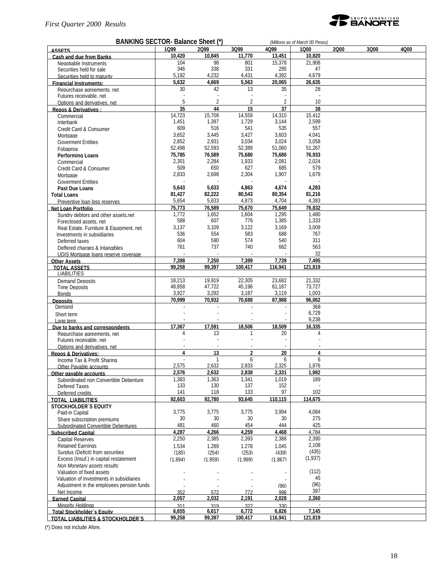

| BANKING SECTOR- Balance Sheet (*)                       |              | (Millions as of March '00 Pesos) |                |              |               |      |      |      |
|---------------------------------------------------------|--------------|----------------------------------|----------------|--------------|---------------|------|------|------|
| <b>ASSETS</b>                                           | 1099         | 2099                             | 3Q99           | 4Q99         | 1000          | 2000 | 3Q00 | 4Q00 |
| Cash and due from Banks                                 | 10,420       | 10,845                           | 11,770         | 13,451       | 10,820        |      |      |      |
| Negotiable Instruments                                  | 104          | 98                               | 801            | 15,378       | 21,908        |      |      |      |
| Securities held for sale                                | 346          | 338                              | 331            | 295          | 47            |      |      |      |
| Securities held to maturity                             | 5,182        | 4,232                            | 4,431          | 4,392        | 4,679         |      |      |      |
| <b>Financial Instruments:</b>                           | 5,632        | 4,669                            | 5,563          | 20,065       | 26,635        |      |      |      |
| Repurchase agreements, net                              | 30           | 42                               | 13             | 35           | 28            |      |      |      |
| Futures receivable, net                                 | 5            | $\overline{2}$                   | 2              | 2            | 10            |      |      |      |
| Options and derivatives, net                            | 35           | 44                               | 15             | 37           | 38            |      |      |      |
| Repos & Derivatives:                                    | 14,723       | 15,708                           | 14,559         | 14,315       | 15,412        |      |      |      |
| Commercial<br>Interbank                                 | 1,451        | 1,397                            | 1,729          | 3,144        | 2,599         |      |      |      |
| Credit Card & Consumer                                  | 609          | 516                              | 541            | 535          | 557           |      |      |      |
| Mortgage                                                | 3,652        | 3,445                            | 3,427          | 3,603        | 4,041         |      |      |      |
| <b>Goverment Entities</b>                               | 2,852        | 2,931                            | 3,034          | 3,024        | 3,058         |      |      |      |
| Fobaproa                                                | 52,498       | 52,593                           | 52,389         | 51,060       | 51,267        |      |      |      |
| <b>Performing Loans</b>                                 | 75,785       | 76,589                           | 75,680         | 75,680       | 76,933        |      |      |      |
| Commercial                                              | 2,301        | 2,284                            | 1,933          | 2,081        | 2,024         |      |      |      |
| Credit Card & Consumer                                  | 509          | 650                              | 627            | 685          | 579           |      |      |      |
| Mortgage                                                | 2,833        | 2,698                            | 2,304          | 1,907        | 1,679         |      |      |      |
| <b>Goverment Entities</b>                               |              |                                  |                |              |               |      |      |      |
| Past Due Loans                                          | 5,643        | 5,633                            | 4,863          | 4,674        | 4,283         |      |      |      |
| <b>Total Loans</b>                                      | 81,427       | 82,222                           | 80,543         | 80,354       | 81,216        |      |      |      |
| Preventive loan loss reserves                           | 5,654        | 5,633                            | 4,873          | 4,704        | 4,383         |      |      |      |
| Net Loan Portfolio                                      | 75,773       | 76,589                           | 75,670         | 75,649       | 76,832        |      |      |      |
| Sundry debtors and other assets.net                     | 1,772        | 1,652                            | 1,604          | 1,295        | 1,480         |      |      |      |
| Foreclosed assets, net                                  | 588          | 607                              | 776            | 1,385        | 1,333         |      |      |      |
| Real Estate, Furniture & Equipment, net                 | 3,137        | 3,109                            | 3,122          | 3,169        | 3,009         |      |      |      |
| Investments in subsidiaries                             | 536          | 554                              | 583            | 688          | 767           |      |      |      |
| Deferred taxes                                          | 604          | 590                              | 574            | 540          | 311           |      |      |      |
| Deffered charges & Intangibles                          | 761          | 737                              | 740            | 662          | 563           |      |      |      |
| UDIS Mortgage loans reserve coverage                    |              |                                  |                |              | 32            |      |      |      |
| <b>Other Assets</b>                                     | 7,398        | 7,250                            | 7,399          | 7,739        | 7.495         |      |      |      |
| <b>TOTAL ASSETS</b>                                     | 99.258       | 99,397                           | 100,417        | 116,941      | 121.819       |      |      |      |
| <b>LIABILITIES</b>                                      |              |                                  |                |              |               |      |      |      |
| Demand Deposits                                         | 18,213       | 19,919                           | 22,305         | 23,682       | 21,332        |      |      |      |
| <b>Time Deposits</b>                                    | 48,858       | 47,722                           | 45,196         | 61,187       | 73,727        |      |      |      |
| <b>Bonds</b>                                            | 3,927        | 3,292                            | 3,187          | 3,119        | 1,003         |      |      |      |
| <b>Deposits</b><br>Demand                               | 70,999       | 70,932                           | 70,688         | 87,988       | 96,062<br>368 |      |      |      |
|                                                         |              |                                  |                |              | 6,729         |      |      |      |
| Short term                                              |              |                                  |                |              | 9,238         |      |      |      |
| Long term<br>Due to banks and correspondents            | 17,367       | 17,591                           | 18,506         | 18,509       | 16,335        |      |      |      |
| Repurchase agreements, net                              | 4            | 13                               | 1              | 20           | 4             |      |      |      |
| Futures receivable, net                                 |              |                                  |                |              |               |      |      |      |
| Options and derivatives, net                            |              |                                  |                |              |               |      |      |      |
| <b>Repos &amp; Derivatives:</b>                         | 4            | 13                               | $\overline{2}$ | 20           | 4             |      |      |      |
| Income Tax & Profit Sharing                             |              | $\mathbf{1}$                     | 6              | 6            | 6             |      |      |      |
| Other Pavable accounts                                  | 2,575        | 2,632                            | 2,833          | 2,325        | 1,976         |      |      |      |
| Other payable accounts                                  | 2,576        | 2,632                            | 2,838          | 2,331        | 1,982         |      |      |      |
| Subordinated non Convertible Debenture                  | 1,383        | 1,363                            | 1,341          | 1,019        | 189           |      |      |      |
| Defered Taxes                                           | 133          | 130                              | 137            | 152          |               |      |      |      |
| Deferred credits                                        | 141          | 118                              | 133            | 97           | 102           |      |      |      |
| <b>TOTAL LIABILITIES</b>                                | 92,603       | $\frac{1}{92,780}$               | 93,645         | 110,115      | 114,675       |      |      |      |
| <b>STOCKHOLDER'S EQUITY</b>                             |              |                                  |                |              |               |      |      |      |
| Paid-in Capital                                         | 3,775        | 3,775                            | 3,775          | 3,994        | 4,084         |      |      |      |
| Share subscription premiums                             | 30           | 30                               | 30             | 30           | 275           |      |      |      |
| Subordinated Convertible Debentures                     | 481          | 460                              | 454            | 444          | 425           |      |      |      |
| <b>Subscribed Capital</b>                               | 4.287        | 4,266                            | 4,259          | 4,468        | 4.784         |      |      |      |
| Capital Reserves                                        | 2,250        | 2,385                            | 2,393          | 2,388        | 2,390         |      |      |      |
| <b>Retained Earnings</b>                                | 1.534        | 1.289                            | 1.278          | 1.045        | 2,108         |      |      |      |
| Surplus (Deficit) from securities                       | (185)        | (254)                            | (253)          | (439)        | (435)         |      |      |      |
| Excess (Insuf.) in capital restatement                  | (1.894)      | (1.959)                          | (1.999)        | (1.867)      | (1,937)       |      |      |      |
| Non Monetary assets results                             |              |                                  |                |              |               |      |      |      |
| Valuation of fixed assets                               |              |                                  |                |              | (112)<br>45   |      |      |      |
| Valuation of Investments in subsidiaries                |              |                                  |                |              | (96)          |      |      |      |
| Adjustment in the employees pension funds<br>Net Income |              |                                  |                | (96)         | 397           |      |      |      |
| <b>Earned Capital</b>                                   | 352<br>2,057 | 572<br>2,032                     | 772<br>2,191   | 996<br>2,028 | 2,360         |      |      |      |
| Minority Holdings                                       | 311          | 319                              | 322            | 330          | $\sim$        |      |      |      |
| Total Stockholder's Equity                              | 6,655        | 6,617                            | 6,772          | 6,826        | 7,145         |      |      |      |
| <b>TOTAL LIABILITIES &amp; STOCKHOLDER'S</b>            | 99,258       | 99,397                           | 100,417        | 116,941      | 121,819       |      |      |      |

(\*) Does not include Afore.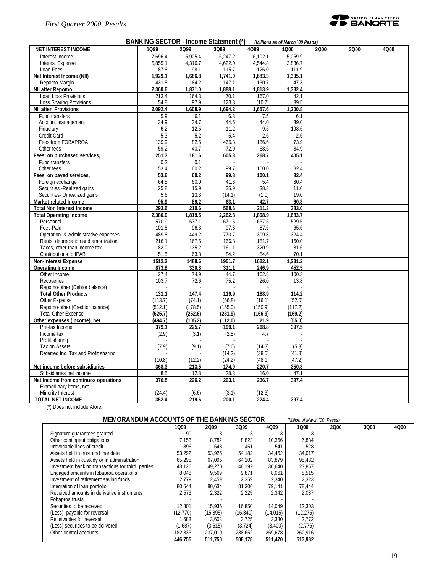

| BANKING SECTOR - Income Statement (*)<br>(Millions as of March '00 Pesos) |         |         |         |         |         |      |      |      |  |
|---------------------------------------------------------------------------|---------|---------|---------|---------|---------|------|------|------|--|
| <b>NET INTEREST INCOME</b>                                                | 1099    | 2099    | 3Q99    | 4Q99    | 1000    | 2000 | 3Q00 | 4Q00 |  |
| Interest Income                                                           | 7,696.4 | 5,905.4 | 6,247.2 | 6,102.1 | 5.059.9 |      |      |      |  |
| Interest Expense                                                          | 5,855.1 | 4,316.7 | 4,622.0 | 4,544.8 | 3,836.7 |      |      |      |  |
| Loan Fees                                                                 | 87.8    | 98.1    | 115.7   | 126.0   | 111.9   |      |      |      |  |
| Net Interest Income (NII)                                                 | 1,929.1 | 1,686.8 | 1,741.0 | 1,683.3 | 1,335.1 |      |      |      |  |
| Repomo-Margin                                                             | 431.5   | 184.2   | 147.1   | 130.7   | 47.3    |      |      |      |  |
| <b>NII after Repomo</b>                                                   | 2,360.6 | 1,871.0 | 1,888.1 | 1,813.9 | 1.382.4 |      |      |      |  |
| Loan Loss Provisions                                                      | 213.4   | 164.3   | 70.1    | 167.0   | 42.1    |      |      |      |  |
| Loss Sharing Provisions                                                   | 54.8    | 97.9    | 123.8   | (10.7)  | 39.5    |      |      |      |  |
| <b>NII after Provisions</b>                                               | 2.092.4 | 1.608.9 | 1.694.2 | 1,657.6 | 1.300.8 |      |      |      |  |
| Fund transfers                                                            | 5.9     | 6.1     | 6.3     | 7.5     | 6.1     |      |      |      |  |
| Account management                                                        | 34.9    | 34.7    | 44.5    | 44.0    | 39.0    |      |      |      |  |
| Fiduciary                                                                 | 6.2     | 12.5    | 11.2    | 9.5     | 198.6   |      |      |      |  |
| Credit Card                                                               | 5.3     | 5.2     | 5.4     | 2.6     | 2.6     |      |      |      |  |
| Fees from FOBAPROA                                                        | 139.9   | 82.5    | 465.8   | 136.6   | 73.9    |      |      |      |  |
| Other fees                                                                | 59.2    | 40.7    | 72.0    | 68.6    | 84.9    |      |      |      |  |
| Fees on purchased services                                                | 251.3   | 181.6   | 605.3   | 268.7   | 405.1   |      |      |      |  |
| Fund transfers                                                            | 0.2     | 0.1     | $\sim$  |         |         |      |      |      |  |
| Other fees                                                                | 53.4    | 60.2    | 99.7    | 100.0   | 82.4    |      |      |      |  |
| Fees on payed services                                                    | 53.6    | 60.2    | 99.8    | 100.1   | 82.4    |      |      |      |  |
| Foreign exchange                                                          | 64.5    | 60.0    | 41.3    | 5.4     | 30.4    |      |      |      |  |
| Securities - Realized gains                                               | 25.8    | 15.9    | 35.9    | 38.3    | 11.0    |      |      |      |  |
| Securities- Unrealized gains                                              | 5.6     | 13.3    | (14.1)  | (1.0)   | 19.0    |      |      |      |  |
| Market-related Income                                                     | 95.9    | 89.2    | 63.1    | 42.7    | 60.3    |      |      |      |  |
| <b>Total Non Interest Income</b>                                          | 293.6   | 210.6   | 568.6   | 211.3   | 383.0   |      |      |      |  |
| <b>Total Operating Income</b>                                             | 2,386.0 | 1,819.5 | 2,262.8 | 1,868.9 | 1,683.7 |      |      |      |  |
| Personnel                                                                 | 570.9   | 577.1   | 671.6   | 637.5   | 529.5   |      |      |      |  |
| Fees Paid                                                                 | 101.8   | 96.3    | 97.3    | 87.6    | 65.6    |      |      |      |  |
| Operation & Administrative expenses                                       | 489.8   | 449.2   | 770.7   | 309.8   | 324.4   |      |      |      |  |
| Rents, depreciation and amortization                                      | 216.1   | 167.5   | 166.8   | 181.7   | 160.0   |      |      |      |  |
| Taxes, other than income tax                                              | 82.0    | 135.2   | 161.1   | 320.9   | 81.6    |      |      |      |  |
| Contributions to IPAB                                                     | 51.5    | 63.3    | 84.2    | 84.6    | 70.1    |      |      |      |  |
| <b>Non-Interest Expense</b>                                               | 1512.2  | 1488.6  | 1951.7  | 1622.1  | 1,231.2 |      |      |      |  |
| <b>Operating Income</b>                                                   | 873.8   | 330.8   | 311.1   | 246.9   | 452.5   |      |      |      |  |
| Other Income                                                              | 27.4    | 74.9    | 44.7    | 162.8   | 100.3   |      |      |      |  |
| Recoveries                                                                | 103.7   | 72.6    | 75.2    | 26.0    | 13.8    |      |      |      |  |
| Repomo-other (Debtor balance)                                             |         |         |         |         |         |      |      |      |  |
| <b>Total Other Products</b>                                               | 131.1   | 147.4   | 119.9   | 188.9   | 114.2   |      |      |      |  |
| Other Expense                                                             | (113.7) | (74.1)  | (66.8)  | (16.1)  | (52.0)  |      |      |      |  |
| Repomo-other (Creditor balance)                                           | (512.1) | (178.5) | (165.0) | (150.9) | (117.2) |      |      |      |  |
| <b>Total Other Expense</b>                                                | (625.7) | (252.6) | (231.9) | (166.9) | (169.2) |      |      |      |  |
| Other expenses (Income), net                                              | (494.7) | (105.2) | (112.0) | 21.9    | (55.0)  |      |      |      |  |
| Pre-tax Income                                                            | 379.1   | 225.7   | 199.1   | 268.8   | 397.5   |      |      |      |  |
| Income tax                                                                | (2.9)   | (3.1)   | (2.5)   | 4.7     |         |      |      |      |  |
| Profit sharing                                                            |         |         |         |         |         |      |      |      |  |
| Tax on Assets                                                             | (7.9)   | (9.1)   | (7.6)   | (14.3)  | (5.3)   |      |      |      |  |
| Deferred Inc. Tax and Profit sharing                                      |         |         | (14.2)  | (38.5)  | (41.8)  |      |      |      |  |
|                                                                           | (10.8)  | (12.2)  | (24.2)  | (48.1)  | (47.2)  |      |      |      |  |
| Net income before subsidiaries                                            | 368.3   | 213.5   | 174.9   | 220.7   | 350.3   |      |      |      |  |
| Subsidiaries net income                                                   | 8.5     | 12.8    | 28.3    | 16.0    | 47.1    |      |      |      |  |
| Net Income from continuos operations                                      | 376.8   | 226.2   | 203.1   | 236.7   | 397.4   |      |      |      |  |
| Extraodinary items, net                                                   |         |         |         |         |         |      |      |      |  |
| Minority Interest                                                         | (24.4)  | (6.6)   | (3.1)   | (12.3)  |         |      |      |      |  |

**TOTAL NET INCOME 352.4 219.6 200.1 224.4 397.4** (\*) Does not include Afore.

| MEMORANDUM ACCOUNTS OF THE BANKING SECTOR<br>(Million of March '00 Pesos) |           |           |           |           |           |      |      |      |  |  |
|---------------------------------------------------------------------------|-----------|-----------|-----------|-----------|-----------|------|------|------|--|--|
|                                                                           | 1099      | 2099      | 3Q99      | 4Q99      | 1000      | 2000 | 3Q00 | 4000 |  |  |
| Signature quarantees granted                                              | 90        |           |           | 3         |           |      |      |      |  |  |
| Other contingent obligations                                              | 7,153     | 8.782     | 8,823     | 10,366    | 7,834     |      |      |      |  |  |
| Irrevocable lines of credit                                               | 896       | 643       | 451       | 541       | 528       |      |      |      |  |  |
| Assets held in trust and mandate                                          | 53.292    | 53,925    | 54,182    | 34,462    | 34,017    |      |      |      |  |  |
| Assets held in custody or in administration                               | 65,295    | 67,095    | 64,102    | 83,879    | 95,432    |      |      |      |  |  |
| Investment banking transactions for third parties,                        | 43.126    | 49.270    | 46,192    | 30.640    | 23.857    |      |      |      |  |  |
| Engaged amounts in fobaproa operations                                    | 8,048     | 9,569     | 9,871     | 8,061     | 8,515     |      |      |      |  |  |
| Investment of retirement saving funds                                     | 2.779     | 2,459     | 2,359     | 2,340     | 2,323     |      |      |      |  |  |
| Integration of loan portfolio                                             | 80.644    | 80.634    | 81,306    | 79.141    | 78.444    |      |      |      |  |  |
| Received amounts in derivative instruments                                | 2,573     | 2,322     | 2,225     | 2,342     | 2,087     |      |      |      |  |  |
| Fobaproa trusts                                                           |           |           |           |           |           |      |      |      |  |  |
| Securities to be received                                                 | 12.801    | 15,936    | 16,850    | 14,049    | 12.303    |      |      |      |  |  |
| (Less) payable for reversal                                               | (12, 770) | (15, 895) | (16, 840) | (14, 015) | (12, 275) |      |      |      |  |  |
| Receivables for reversal                                                  | 1.683     | 3,603     | 3,725     | 3,380     | 2.772     |      |      |      |  |  |
| (Less) securities to be delivered                                         | (1,687)   | (3,615)   | (3, 724)  | (3,400)   | (2,776)   |      |      |      |  |  |
| Other control accounts                                                    | 182,833   | 237,019   | 238,652   | 259,678   | 260,916   |      |      |      |  |  |
|                                                                           | 446,755   | 511,750   | 508.178   | 511,470   | 513,982   |      |      |      |  |  |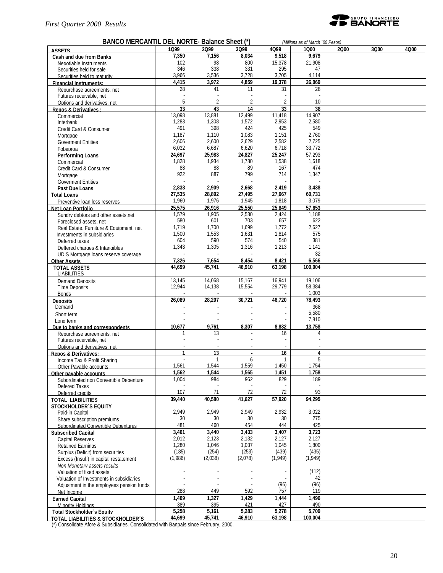

#### **BANCO MERCANTIL DEL NORTE- Balance Sheet (\*)** *(Millions as of March ´00 Pesos)* **ASSETS 1Q99 2Q99 3Q99 4Q99 1Q00 2Q00 3Q00 4Q00 Cash and due from Banks 7,350 7,156 8,034 9,518 9,679** Negotiable Instruments<br>
Securities held for sale<br>
102 98 800 15,378 295 21,908<br>
147 338 331 295 Securities held for sale 31 346 338 331 295 47<br>Securities held to maturity 3.966 3,536 3,728 3,705 4,114 Securities held to maturity 1.114 3,966 3,536 3,728 3,705 4,114<br> **4,415 3,972 4,859 19,378 26,069** 26,069 **Financial Instruments: 4,415 3,972 4,859 19,378 26,069** Repurchase agreements, net Futures receivable, net and the state of the state of the state of the state of the state of the state of the state of the state of the state of the state of the state of the state of the state of the state of the state of Options and derivatives, net 10<br> **EXECUTE:** The Consultance of the Consultance of the Consultance of the Consultance of the Consultance of the Consultance of the Consultance of the Consultance of the Consultance of the Con **Repos & Derivatives : 33 43 14 33 38** Commercial 13,098 13,881 12,499 11,418 14,907 Interbank 1,283 1,308 1,572 2,953 2,580 Credit Card & Consumer  $\begin{array}{|c|c|c|c|c|c|}\n\hline\n\text{Credit Card & Consumer} & & & 491 & & 398 & & 424 & & 425 & & 549 \\
\hline\n\text{Mortspace} & & & & 1187 & & 1110 & & 1083 & & 1151 & & 2760 \\
\hline\n\end{array}$ Mortgage 1,187 1,110 1,083 1,151 2,760 Governent Entities<br>
Fobancoa 1990 1.600 2.600 2.629 2.582 2.725<br>
Fobancoa 18 23,772<br>
2.600 6.620 6.718 33,772 Fobaproa 6,032 6,687 6,620 6,718 33,772 **Performing Loans 24,697 25,983 24,827 25,247 25,293 26,247 25,247 25,293 26,247 25,293 26,247 25,293 26,247 25,293 26,247 25,293 26,247 25,293 26,247 25,293 26,293 26,293 26,2** Commercial 1,828 1,934 1,780 1,538 1,618 Credit Card & Consumer 174 2008 88 89 167 214 474<br>Mortgage 1799 714 1.347 Mortgage 922 887 799 714 1,347 Government Entities<br>
Past Due I pans<br>
Past Due I pans<br>
2.838 2.909 2.668 2.419 3.438 **Past Due Loans 2,838 2,909 2,668 2,419 3,438 Total Loans 27,535 28,892 27,495 27,667 60,731** Preventive loan loss reserves 1,960 1,976 1,945 1,818 3,079<br>
25,575 26,916 25,550 25,849 57,653 **Net Loan Portfolio 25,575 26,916 25,550 25,849 57,653** Sundry debtors and other assets,net  $\begin{bmatrix} 1,579 & 1,905 & 2,530 & 2,424 \\ 580 & 601 & 703 & 657 \end{bmatrix}$  = 1,188 Foreclosed assets, net 580 601 703 657 622 Real Estate, Furniture & Equipment, net  $\begin{vmatrix} 1,719 & 1,700 & 1,699 & 1,772 \ 1,772 & 1,631 & 1,814 \end{vmatrix}$  2,627 Investments in subsidiaries 1,500 1,553 1,631 1,814 575<br>
Deferred taxes 1813 1,814 540 381 Deferred taxes 604 590 574 540 381 Deffered charges & Intangibles 1,343 1,305 1,316 1,213 1,141 1,141<br>1,119 1,1141 1,115 Mortgage 1,200 1,213 1,343 1,305 1,316 1,213 1,213 1,41 UDIS Mortgage loans reserve coverage and the company of the contract of the contract of the contract of the contract of the contract of the contract of the contract of the contract of the contract of the contract of the co **Other Assets 7,326 7,654 8,454 8,421 6,566 TOTAL ASSETS 44,699 45,741 46,910 63,198 100,004 LIABILITIES** Demand Deposits 13,145 14,068 15,167 16,941 19,106<br>Time Deposits 19,094 14,138 15,554 29,779 58,384 Time Deposits 12,944 14,138 15,554 29,779 58,384 Bonds - - - - 1,003 **Deposits 26,089 28,207 30,721 46,720 78,493** Demand  $\sim$  368 Short term  $5,580$ Long term - - - - 7,810 **Due to banks and correspondents 10,677 9,761 8,307 8,832 13,758**<br>**Repurchase agreements net 1 13 13 16 4 4** Repurchase agreements, net 1 13 - 16 4 Futures receivable, net Options and derivatives, net and the set of the set of the set of the set of the set of the set of the set of the set of the set of the set of the set of the set of the set of the set of the set of the set of the set of th **Repos & Derivatives: 1 13 1 16 4**<br> **1 13 16 1 16 4**<br> **1 13 1 6 1 1 1 6 1 1 5** Income Tax & Profit Sharing  $\begin{array}{ccccccc}\n\text{I} & - & 1 & 6 & 1 & 5 \\
\text{I} & - & 1 & - & 6 & 1 \\
\text{I} & - & 1 & - & 1 & - \\
\text{I} & - & 1 & - & 1 & - \\
\text{I} & - & 1 & - & 1 & - \\
\text{I} & - & 1 & - & 1 & - \\
\text{I} & - & 1 & - & 1 & - \\
\text{I} & - & 1 & - & 1 & - \\
\text{I} & - & 1 & - & 1 & - \\
\text{II} & - & 1 & - & 1 & - \\
\$ Other Payable accounts 1,561 1,544 1,559 1,450 1,754 **Other payable accounts 1,562 1,544 1,565 1,451 1,758** Subordinated non Convertible Debenture Defered Taxes<br>
Deferred credits<br>
Oeferred credits<br>
23 011 107 71 72 72 93<br>17AL LIABILITIES 2014 2021 2021 2022 94,440 40,580 41,627 57,920 94,295 **TOTAL LIABILITIES 39,440 40,580 41,627 57,920 94,295 STOCKHOLDER´S EQUITY** Paid-in Capital 2,022 12,949 2,949 2,949 2,932 3,022<br>
Share subscription premiums 30 30 30 30 275 Share subscription premiums 30 30 30 30 275 Subordinated Convertible Debentures 481 460 454 444 425<br>1991 - Ascribed Capital 425 460 454 444 425 **Subscribed Capital 3,461 3,440 3,433 3,407 3,723** Capital Reserves 2,012 2,123 2,132 2,127 2,127 Retained Earnings 1,280 1,046 1,037 1,045 1,800 Surplus (Deficit) from securities (185) (254) (253) (439) (435) (253) (439) (435) (353) (439) (435) (435) (435<br>Excess (Insuf.) in capital restatement (1,986) (2,038) (2,078) (1,949) (1,949) Excess (Insuf.) in capital restatement *Non Monetary assets results* Valuation of fixed assets (112)<br>Valuation of Investments in subsidiaries and the set of the set of the set of the set of the set of the set of Valuation of Investments in subsidiaries  $\begin{bmatrix} 42 \\ 42 \end{bmatrix}$  (96) Adjustment in the employees pension funds - - - (96) (96) Net Income 288 449 592 757 119 **Earned Capital 1,409 1,327 1,429 1,444 1,496** Minority Holdings 389 395 421 427 490 **Total Stockholder´s Equity 5,258 5,161 5,283 5,278 5,709**

**TOTAL LIABILITIES & STOCKHOLDER´S 44,699 45,741 46,910 63,198 100,004**

(\*) Consolidate Afore & Subsidiaries. Consolidated with Banpaís since February, 2000.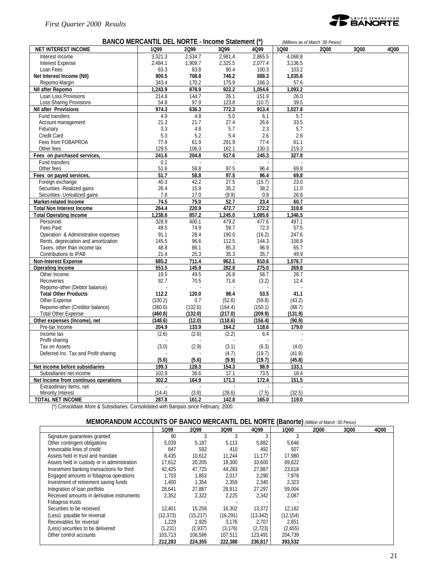

| BANCO MERCANTIL DEL NORTE - Income Statement (*)<br>(Millions as of March '00 Pesos) |                  |              |                |                |         |      |      |      |  |  |
|--------------------------------------------------------------------------------------|------------------|--------------|----------------|----------------|---------|------|------|------|--|--|
| <b>NET INTEREST INCOME</b>                                                           | 1099             | 2099         | 3Q99           | 4Q99           | 1000    | 2000 | 3Q00 | 4Q00 |  |  |
| Interest Income                                                                      | 3,321.3          | 2,534.7      | 2,981.4        | 2,865.5        | 4,068.8 |      |      |      |  |  |
| <b>Interest Expense</b>                                                              | 2,484.1          | 1,909.7      | 2,325.5        | 2,077.4        | 3,136.5 |      |      |      |  |  |
| Loan Fees                                                                            | 63.3             | 83.8         | 90.4           | 100.3          | 103.2   |      |      |      |  |  |
| Net Interest Income (NII)                                                            | 900.5            | 708.8        | 746.2          | 888.3          | 1,035.6 |      |      |      |  |  |
| Repomo-Margin                                                                        | 343.4            | 170.2        | 175.9          | 166.3          | 57.6    |      |      |      |  |  |
| NII after Repomo                                                                     | 1.243.9          | 878.9        | 922.2          | 1.054.6        | 1.093.2 |      |      |      |  |  |
| Loan Loss Provisions                                                                 | 214.8            | 144.7        | 26.1           | 151.9          | 26.0    |      |      |      |  |  |
| Loss Sharing Provisions                                                              | 54.8             | 97.9         | 123.8          | (10.7)         | 39.5    |      |      |      |  |  |
| <b>NII after Provisions</b>                                                          | 974.3            | 636.3        | 772.3          | 913.4          | 1.027.8 |      |      |      |  |  |
| Fund transfers                                                                       | 4.9              | 4.8          | 5.0            | 6.1            | 5.7     |      |      |      |  |  |
| Account management                                                                   | 21.3             | 21.7         | 27.4           | 26.6           | 33.5    |      |      |      |  |  |
| Fiduciary                                                                            | 3.3              | 4.8          | 5.7            | 2.3            | 5.7     |      |      |      |  |  |
| Credit Card                                                                          | 5.3              | 5.2          | 5.4            | 2.6            | 2.6     |      |      |      |  |  |
| Fees from FOBAPROA                                                                   | 77.4             | 61.9         | 291.9          | 77.4           | 61.1    |      |      |      |  |  |
| Other fees                                                                           | 129.5            | 106.3        | 182.1          | 130.3          | 219.3   |      |      |      |  |  |
| Fees on purchased services,                                                          | 241.6            | 204.8        | 517.6          | 245.3          | 327.8   |      |      |      |  |  |
| Fund transfers                                                                       | 0.1              |              |                |                |         |      |      |      |  |  |
| Other fees                                                                           | 51.6             | 58.8         | 97.5           | 96.4           | 69.8    |      |      |      |  |  |
| Fees on payed services,                                                              | 51.7             | 58.8         | 97.5           | 96.4           | 69.8    |      |      |      |  |  |
| Foreign exchange                                                                     | 40.3             | 42.2         | 27.5           | (15.7)         | 23.0    |      |      |      |  |  |
| Securities - Realized gains                                                          | 26.4             | 15.9         | 35.2           | 38.2           | 11.0    |      |      |      |  |  |
| Securities- Unrealized gains                                                         | 7.8              | 17.0         | (9.9)          | 0.8            | 26.8    |      |      |      |  |  |
| Market-related Income                                                                | 74.5             | 75.0         | 52.7           | 23.4           | 60.7    |      |      |      |  |  |
| <b>Total Non Interest Income</b>                                                     | 264.4            | 220.9        | 472.7          | 172.2          | 318.8   |      |      |      |  |  |
| <b>Total Operating Income</b>                                                        | 1,238.6          | 857.2        | 1,245.0        | 1,085.6        | 1.346.5 |      |      |      |  |  |
| Personnel                                                                            | 328.9            | 400.1        | 479.2          | 477.6          | 497.1   |      |      |      |  |  |
| Fees Paid                                                                            | 49.5             | 74.9         | 59.7           | 72.3           | 57.5    |      |      |      |  |  |
| Operation & Administrative expenses                                                  | 91.1             | 28.4         | 190.0          | (16.2)         | 247.6   |      |      |      |  |  |
| Rents, depreciation and amortization                                                 | 145.5            | 96.6         | 112.5          | 144.3          | 158.9   |      |      |      |  |  |
| Taxes, other than income tax                                                         | 48.8             | 86.1         | 85.3           | 96.9           | 65.7    |      |      |      |  |  |
| Contributions to IPAB                                                                | 21.4             | 25.3         | 35.3           | 35.7           | 49.9    |      |      |      |  |  |
| <b>Non-Interest Expense</b>                                                          | 685.2            | 711.4        | 962.1          | 810.6          | 1,076.7 |      |      |      |  |  |
| <b>Operating Income</b>                                                              | 553.5            | 145.9        | 282.8          | 275.0          | 269.8   |      |      |      |  |  |
| Other Income                                                                         | 19.5<br>92.7     | 49.5         | 26.8           | 56.7           | 28.7    |      |      |      |  |  |
| Recoveries                                                                           |                  | 70.5         | 71.6           | (3.2)          | 12.4    |      |      |      |  |  |
| Repomo-other (Debtor balance)                                                        |                  |              |                |                | 41.1    |      |      |      |  |  |
| <b>Total Other Products</b><br>Other Expense                                         | 112.2<br>(100.2) | 120.0<br>0.7 | 98.4<br>(52.6) | 53.5<br>(59.8) | (43.2)  |      |      |      |  |  |
| Repomo-other (Creditor balance)                                                      | (360.6)          | (132.6)      | (164.4)        | (150.1)        | (88.7)  |      |      |      |  |  |
| <b>Total Other Expense</b>                                                           | (460.8)          | (132.0)      | (217.0)        | (209.9)        | (131.9) |      |      |      |  |  |
| Other expenses (Income), net                                                         | (348.6)          | (12.0)       | (118.6)        | (156.4)        | (90.9)  |      |      |      |  |  |
| Pre-tax Income                                                                       | 204.9            | 133.9        | 164.2          | 118.6          | 179.0   |      |      |      |  |  |
| Income tax                                                                           | (2.6)            | (2.6)        | (2.2)          | 6.4            |         |      |      |      |  |  |
| Profit sharing                                                                       |                  |              |                |                |         |      |      |      |  |  |
| Tax on Assets                                                                        | (3.0)            | (2.9)        | (3.1)          | (6.3)          | (4.0)   |      |      |      |  |  |
| Deferred Inc. Tax and Profit sharing                                                 |                  |              | (4.7)          | (19.7)         | (41.8)  |      |      |      |  |  |
|                                                                                      | (5.6)            | (5.6)        | (9.9)          | (19.7)         | (45.8)  |      |      |      |  |  |
| Net income before subsidiaries                                                       | 199.3            | 128.3        | 154.3          | 98.9           | 133.1   |      |      |      |  |  |
| Subsidiaries net income                                                              | 102.9            | 36.6         | 17.1           | 73.5           | 18.4    |      |      |      |  |  |
| Net Income from continuos operations                                                 | 302.2            | 164.9        | 171.3          | 172.4          | 151.5   |      |      |      |  |  |
| Extraodinary items, net                                                              |                  |              |                |                |         |      |      |      |  |  |
| Minority Interest                                                                    | (14.4)           | (3.8)        | (28.6)         | (7.5)          | (32.5)  |      |      |      |  |  |
| <b>TOTAL NET INCOME</b>                                                              | 287.8            | 161.2        | 142.8          | 165.0          | 119.0   |      |      |      |  |  |
|                                                                                      |                  |              |                |                |         |      |      |      |  |  |

(\*) Consoldiate Afore & Subsidiaries. Consolidated with Banpaís since February, 2000.

### **MEMORANDUM ACCOUNTS OF BANCO MERCANTIL DEL NORTE (Banorte)** *(Million of March ´00 Pesos)*

|                                             | 1099      | 2099     | 3Q99      | 4Q99      | 1000      | 2000 | 3Q00 | 4Q00 |
|---------------------------------------------|-----------|----------|-----------|-----------|-----------|------|------|------|
| Signature guarantees granted                | 90        |          |           |           |           |      |      |      |
| Other contingent obligations                | 5,039     | 5.187    | 5.113     | 5,882     | 5,646     |      |      |      |
| Irrevocable lines of credit                 | 847       | 592      | 410       | 492       | 507       |      |      |      |
| Assets held in trust and mandate            | 8.435     | 10.612   | 11.244    | 11,177    | 17,980    |      |      |      |
| Assets held in custody or in administration | 17.612    | 20,205   | 18.300    | 33.600    | 69,622    |      |      |      |
| Investment banking transactions for third   | 42.425    | 47,725   | 44,283    | 27,887    | 23,618    |      |      |      |
| Engaged amounts in fobaproa operations      | 1.703     | 1.853    | 2.017     | 2.290     | 7.978     |      |      |      |
| Investment of retirement saving funds       | 1.400     | 1.354    | 2.359     | 2.340     | 2.323     |      |      |      |
| Integration of loan portfolio               | 28.641    | 27.887   | 28,911    | 27,297    | 59.004    |      |      |      |
| Received amounts in derivative instruments  | 2,352     | 2,322    | 2,225     | 2.342     | 2,087     |      |      |      |
| Fobaproa trusts                             |           |          |           |           |           |      |      |      |
| Securities to be received                   | 12.401    | 15.258   | 16.302    | 13,372    | 12.182    |      |      |      |
| (Less) payable for reversal                 | (12, 373) | (15,217) | (16, 291) | (13, 342) | (12, 154) |      |      |      |
| Receivables for reversal                    | 1.229     | 2.925    | 3.176     | 2.707     | 2,651     |      |      |      |
| (Less) securities to be delivered           | (1,231)   | (2,937)  | (3, 176)  | (2, 723)  | (2,655)   |      |      |      |
| Other control accounts                      | 103.713   | 106.586  | 107.511   | 123.491   | 204,739   |      |      |      |
|                                             | 212,283   | 224,355  | 222,388   | 236,817   | 393,532   |      |      |      |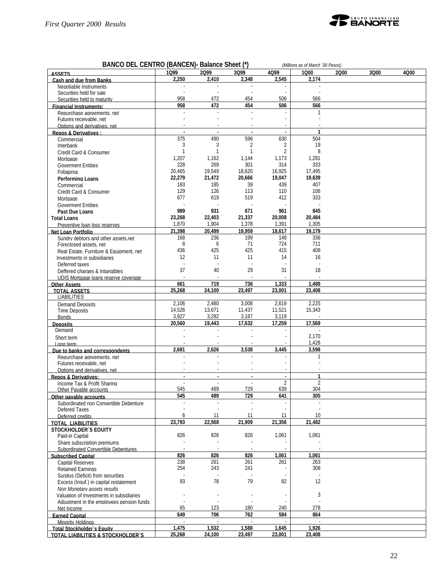

| BANCO DEL CENTRO (BANCEN) - Balance Sheet (*)<br>(Millions as of March '00 Pesos) |                          |                |                             |                          |               |      |      |      |  |
|-----------------------------------------------------------------------------------|--------------------------|----------------|-----------------------------|--------------------------|---------------|------|------|------|--|
| <b>ASSETS</b>                                                                     | 1099                     | 2099           | 3Q99                        | 4099                     | 1000          | 2000 | 3Q00 | 4000 |  |
| Cash and due from Banks                                                           | 2,250                    | 2,410          | 2,348                       | 2,545                    | 2,174         |      |      |      |  |
| Negotiable Instruments                                                            | $\omega$                 | $\sim$         | $\omega$                    | $\omega$                 |               |      |      |      |  |
| Securities held for sale                                                          |                          |                |                             |                          |               |      |      |      |  |
| Securities held to maturity                                                       | 958                      | 472            | 454                         | 506                      | 566           |      |      |      |  |
| <b>Financial Instruments:</b>                                                     | 958                      | 472            | 454                         | 506                      | 566           |      |      |      |  |
| Repurchase agreements, net                                                        | ÷,                       | $\sim$         | ÷.                          | ÷                        | 1             |      |      |      |  |
| Futures receivable, net                                                           |                          |                |                             | $\sim$                   |               |      |      |      |  |
| Options and derivatives, net<br>Repos & Derivatives:                              | $\blacksquare$           | $\overline{a}$ | $\blacksquare$              | $\blacksquare$           | $\mathbf{1}$  |      |      |      |  |
| Commercial                                                                        | 375                      | 490            | 596                         | 630                      | 504           |      |      |      |  |
| Interbank                                                                         | 3                        | 3              | 2                           | 2                        | 19            |      |      |      |  |
| Credit Card & Consumer                                                            | $\mathbf{1}$             | 1              | $\mathbf{1}$                | 2                        | 8             |      |      |      |  |
| Mortgage                                                                          | 1,207                    | 1,162          | 1,144                       | 1,173                    | 1,281         |      |      |      |  |
| <b>Goverment Entities</b>                                                         | 228                      | 269            | 301                         | 314                      | 333           |      |      |      |  |
| Fobaproa                                                                          | 20,465                   | 19,549         | 18,620                      | 16,925                   | 17,495        |      |      |      |  |
| <b>Performing Loans</b>                                                           | 22,279                   | 21,472         | 20,666                      | 19,047                   | 19,639        |      |      |      |  |
| Commercial                                                                        | 183                      | 185            | 39                          | 439                      | 407           |      |      |      |  |
| Credit Card & Consumer                                                            | 129                      | 126            | 113                         | 110                      | 106           |      |      |      |  |
| Mortgage                                                                          | 677                      | 619            | 519                         | 412                      | 333           |      |      |      |  |
| <b>Goverment Entities</b>                                                         |                          |                |                             |                          |               |      |      |      |  |
| Past Due Loans                                                                    | 989<br>23,268            | 931<br>22,403  | 671<br>21,337               | 961<br>20,008            | 845<br>20,484 |      |      |      |  |
| <b>Total Loans</b><br>Preventive loan loss reserves                               | 1,870                    | 1,904          | 1,378                       | 1,391                    | 1,305         |      |      |      |  |
| Net Loan Portfolio                                                                | 21,398                   | 20.499         | 19.959                      | 18,617                   | 19,179        |      |      |      |  |
| Sundry debtors and other assets.net                                               | 168                      | 236            | 199                         | 149                      | 336           |      |      |      |  |
| Foreclosed assets, net                                                            | 8                        | 6              | 71                          | 724                      | 711           |      |      |      |  |
| Real Estate, Furniture & Equipment, net                                           | 436                      | 425            | 425                         | 415                      | 408           |      |      |      |  |
| Investments in subsidiaries                                                       | 12                       | 11             | 11                          | 14                       | 16            |      |      |      |  |
| Deferred taxes                                                                    |                          |                |                             |                          |               |      |      |      |  |
| Deffered charges & Intangibles                                                    | 37                       | 40             | 29                          | 31                       | 18            |      |      |      |  |
| UDIS Mortgage loans reserve coverage                                              |                          |                |                             |                          |               |      |      |      |  |
| <b>Other Assets</b>                                                               | 661                      | 719            | 736                         | 1,333                    | 1,489         |      |      |      |  |
| <b>TOTAL ASSETS</b>                                                               | 25,268                   | 24,100         | 23,497                      | 23,001                   | 23,408        |      |      |      |  |
| <b>LIABILITIES</b>                                                                |                          | 2,480          | 3,008                       | 2,619                    | 2,225         |      |      |      |  |
| Demand Deposits                                                                   | 2,106<br>14,526          | 13,671         | 11,437                      | 11,521                   | 15,343        |      |      |      |  |
| <b>Time Deposits</b><br><b>Bonds</b>                                              | 3,927                    | 3,292          | 3,187                       | 3,119                    |               |      |      |      |  |
| <b>Deposits</b>                                                                   | 20.560                   | 19,443         | 17,632                      | 17,259                   | 17.569        |      |      |      |  |
| Demand                                                                            |                          |                |                             |                          |               |      |      |      |  |
| Short term                                                                        |                          |                |                             |                          | 2,170         |      |      |      |  |
| Long term                                                                         |                          |                |                             |                          | 1,428         |      |      |      |  |
| Due to banks and correspondents                                                   | 2,681                    | 2,626          | 3,538                       | 3.445                    | 3,598         |      |      |      |  |
| Repurchase agreements, net                                                        |                          |                |                             |                          |               |      |      |      |  |
| Futures receivable, net                                                           |                          |                |                             |                          |               |      |      |      |  |
| Options and derivatives, net                                                      |                          |                |                             |                          |               |      |      |      |  |
| <b>Repos &amp; Derivatives:</b>                                                   | $\overline{a}$           | $\blacksquare$ | $\blacksquare$              | $\blacksquare$           | 1             |      |      |      |  |
| Income Tax & Profit Sharing                                                       |                          |                |                             | $\overline{2}$           |               |      |      |      |  |
| Other Pavable accounts                                                            | 545<br>545               | 489<br>489     | 729<br>729                  | 639<br>641               | 304<br>305    |      |      |      |  |
| Other pavable accounts                                                            | $\overline{\phantom{a}}$ | $\sim$         | $\blacksquare$              | $\blacksquare$           | $\sim$        |      |      |      |  |
| Subordinated non Convertible Debenture<br>Defered Taxes                           |                          |                | ÷,                          | $\blacksquare$           |               |      |      |      |  |
| Deferred credits                                                                  | 6                        | 11             | 11                          | 11                       | 10            |      |      |      |  |
| <b>TOTAL LIABILITIES</b>                                                          | 23,793                   | 22,568         | 21.909                      | 21,356                   | 21,482        |      |      |      |  |
| <b>STOCKHOLDER'S EQUITY</b>                                                       |                          |                |                             |                          |               |      |      |      |  |
| Paid-in Capital                                                                   | 826                      | 826            | 826                         | 1,061                    | 1,061         |      |      |      |  |
| Share subscription premiums                                                       |                          |                |                             |                          |               |      |      |      |  |
| Subordinated Convertible Debentures                                               | $\sim$                   |                |                             | $\overline{\phantom{a}}$ |               |      |      |      |  |
| <b>Subscribed Capital</b>                                                         | 826                      | 826            | 826                         | 1,061                    | 1,061         |      |      |      |  |
| Capital Reserves                                                                  | 238                      | 261            | 261                         | 261                      | 263           |      |      |      |  |
| <b>Retained Earnings</b>                                                          | 254                      | 243            | 241                         |                          | 308           |      |      |      |  |
| Surplus (Deficit) from securities                                                 |                          |                |                             |                          |               |      |      |      |  |
| Excess (Insuf.) in capital restatement                                            | 93                       | 78             | 79                          | 82                       | 12            |      |      |      |  |
| Non Monetary assets results                                                       |                          |                |                             |                          |               |      |      |      |  |
| Valuation of Investments in subsidiaries                                          |                          |                |                             |                          | 3             |      |      |      |  |
| Adjustment in the employees pension funds                                         | 65                       | 123            | 180                         | 240                      | 278           |      |      |      |  |
| Net Income<br><b>Earned Capital</b>                                               | 649                      | 706            | 762                         | 584                      | 864           |      |      |      |  |
| Minority Holdings                                                                 | $\sim$                   |                | $\mathcal{L}_{\mathcal{A}}$ |                          |               |      |      |      |  |
| Total Stockholder's Equity                                                        | 1,475                    | 1,532          | 1,588                       | 1,645                    | 1,926         |      |      |      |  |
| TOTAL LIABILITIES & STOCKHOLDER'S                                                 | 25,268                   | 24,100         | 23,497                      | 23,001                   | 23,408        |      |      |      |  |
|                                                                                   |                          |                |                             |                          |               |      |      |      |  |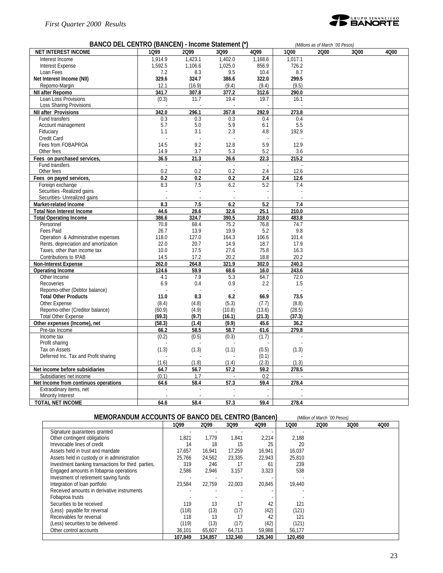#### *First Quarter 2000 Results*

Engaged amounts in fobaproa operations

(Less) securities to be delivered (119) (13)<br>Other control accounts 36,101 (45,607)

Integration of loan portfolio



#### **BANCO DEL CENTRO (BANCEN) - Income Statement (\*)** *(Millions as of March ´00 Pesos)*

| BANCO DEL CENTRO (BANCEN) - Income Statement (^) |         |         |         | (Millions as of March '00 Pesos) |         |      |      |      |
|--------------------------------------------------|---------|---------|---------|----------------------------------|---------|------|------|------|
| <b>NET INTEREST INCOME</b>                       | 1099    | 2099    | 3Q99    | 4Q99                             | 1000    | 2000 | 3Q00 | 4Q00 |
| Interest Income                                  | 1.914.9 | 1,423.1 | 1.402.0 | 1.168.6                          | 1.017.1 |      |      |      |
| Interest Expense                                 | 1,592.5 | 1,106.6 | 1,025.0 | 856.9                            | 726.2   |      |      |      |
| Loan Fees                                        | 7.2     | 8.3     | 9.5     | 10.4                             | 8.7     |      |      |      |
| Net Interest Income (NII)                        | 329.6   | 324.7   | 386.6   | 322.0                            | 299.5   |      |      |      |
| Repomo-Margin                                    | 12.1    | (16.9)  | (9.4)   | (9.4)                            | (9.5)   |      |      |      |
| NII after Repomo                                 | 341.7   | 307.8   | 377.2   | 312.6                            | 290.0   |      |      |      |
| Loan Loss Provisions                             | (0.3)   | 11.7    | 19.4    | 19.7                             | 16.1    |      |      |      |
| <b>Loss Sharing Provisions</b>                   |         |         |         |                                  |         |      |      |      |
| <b>NII after Provisions</b>                      | 342.0   | 296.1   | 357.8   | 292.9                            | 273.8   |      |      |      |
| Fund transfers                                   | 0.3     | 0.3     | 0.3     | 0.4                              | 0.4     |      |      |      |
| Account management                               | 5.7     | 5.0     | 5.9     | 6.1                              | 5.5     |      |      |      |
| Fiduciary                                        | 1.1     | 3.1     | 2.3     | 4.8                              | 192.9   |      |      |      |
| Credit Card                                      |         |         |         |                                  |         |      |      |      |
| Fees from FOBAPROA                               | 14.5    | 9.2     | 12.8    | 5.9                              | 12.9    |      |      |      |
| Other fees                                       | 14.9    | 3.7     | 5.3     | 5.2                              | 3.6     |      |      |      |
| Fees on purchased services,                      | 36.5    | 21.3    | 26.6    | 22.3                             | 215.2   |      |      |      |
| Fund transfers                                   |         |         |         |                                  |         |      |      |      |
| Other fees                                       | 0.2     | 0.2     | 0.2     | 2.4                              | 12.6    |      |      |      |
| Fees on payed services,                          | 0.2     | 0.2     | 0.2     | 2.4                              | 12.6    |      |      |      |
| Foreign exchange                                 |         |         |         | 5.2                              |         |      |      |      |
| Securities - Realized gains                      | 8.3     | 7.5     | 6.2     | L.                               | 7.4     |      |      |      |
| Securities- Unrealized gains                     |         |         |         |                                  |         |      |      |      |
|                                                  |         |         |         |                                  |         |      |      |      |
| <b>Market-related Income</b>                     | 8.3     | 7.5     | 6.2     | 5.2                              | 7.4     |      |      |      |
| <b>Total Non Interest Income</b>                 | 44.6    | 28.6    | 32.6    | 25.1                             | 210.0   |      |      |      |
| <b>Total Operating Income</b>                    | 386.6   | 324.7   | 390.5   | 318.0                            | 483.8   |      |      |      |
| Personnel<br><b>Fees Paid</b>                    | 70.8    | 68.4    | 75.2    | 76.8                             | 74.7    |      |      |      |
|                                                  | 26.7    | 13.9    | 19.9    | 5.2                              | 9.8     |      |      |      |
| Operation & Administrative expenses              | 118.0   | 127.0   | 164.3   | 106.6                            | 101.4   |      |      |      |
| Rents, depreciation and amortization             | 22.0    | 20.7    | 14.9    | 18.7                             | 17.9    |      |      |      |
| Taxes, other than income tax                     | 10.0    | 17.5    | 27.6    | 75.8                             | 16.3    |      |      |      |
| Contributions to IPAB                            | 14.5    | 17.2    | 20.2    | 18.8                             | 20.2    |      |      |      |
| <b>Non-Interest Expense</b>                      | 262.0   | 264.8   | 321.9   | 302.0                            | 240.3   |      |      |      |
| <b>Operating Income</b>                          | 124.6   | 59.9    | 68.6    | 16.0                             | 243.6   |      |      |      |
| Other Income                                     | 4.1     | 7.9     | 5.3     | 64.7                             | 72.0    |      |      |      |
| Recoveries                                       | 6.9     | 0.4     | 0.9     | 2.2                              | 1.5     |      |      |      |
| Repomo-other (Debtor balance)                    |         |         |         |                                  |         |      |      |      |
| <b>Total Other Products</b>                      | 11.0    | 8.3     | 6.2     | 66.9                             | 73.5    |      |      |      |
| Other Expense                                    | (8.4)   | (4.8)   | (5.3)   | (7.7)                            | (8.8)   |      |      |      |
| Repomo-other (Creditor balance)                  | (60.9)  | (4.9)   | (10.8)  | (13.6)                           | (28.5)  |      |      |      |
| <b>Total Other Expense</b>                       | (69.3)  | (9.7)   | (16.1)  | (21.3)                           | (37.3)  |      |      |      |
| Other expenses (Income), net                     | (58.3)  | (1.4)   | (9.9)   | 45.6                             | 36.2    |      |      |      |
| Pre-tax Income                                   | 66.2    | 58.5    | 58.7    | 61.6                             | 279.8   |      |      |      |
| Income tax                                       | (0.2)   | (0.5)   | (0.3)   | (1.7)                            |         |      |      |      |
| Profit sharing                                   |         |         |         |                                  |         |      |      |      |
| Tax on Assets                                    | (1.3)   | (1.3)   | (1.1)   | (0.5)                            | (1.3)   |      |      |      |
| Deferred Inc. Tax and Profit sharing             |         |         |         | (0.1)                            |         |      |      |      |
|                                                  | (1.6)   | (1.8)   | (1.4)   | (2.3)                            | (1.3)   |      |      |      |
| Net income before subsidiaries                   | 64.7    | 56.7    | 57.2    | 59.2                             | 278.5   |      |      |      |
| Subsidiaries net income                          | (0.1)   | 1.7     |         | 0.2                              |         |      |      |      |
| Net Income from continuos operations             | 64.6    | 58.4    | 57.3    | 59.4                             | 278.4   |      |      |      |
| Extraodinary items, net                          |         |         |         |                                  |         |      |      |      |
| Minority Interest                                |         |         |         |                                  |         |      |      |      |
| <b>TOTAL NET INCOME</b>                          | 64.6    | 58.4    | 57.3    | 59.4                             | 278.4   |      |      |      |
|                                                  |         |         |         |                                  |         |      |      |      |

| MEMORANDUM ACCOUNTS OF BANCO DEL CENTRO (Bancen)   |        |        |        |        |        | (Million of March '00 Pesos) |      |      |  |
|----------------------------------------------------|--------|--------|--------|--------|--------|------------------------------|------|------|--|
|                                                    | 1099   | 2099   | 3Q99   | 4Q99   | 1000   | 2000                         | 3Q00 | 4Q00 |  |
| Signature quarantees granted                       |        |        |        |        |        |                              |      |      |  |
| Other contingent obligations                       | 1.821  | 1.779  | 1.841  | 2.214  | 2.188  |                              |      |      |  |
| Irrevocable lines of credit                        | 14     | 18     | 15     | 25     | 20     |                              |      |      |  |
| Assets held in trust and mandate                   | 17.657 | 16.941 | 17.259 | 16.941 | 16.037 |                              |      |      |  |
| Assets held in custody or in administration        | 25.766 | 24.562 | 23.335 | 22.943 | 25.810 |                              |      |      |  |
| Investment banking transactions for third parties, | 319    | 246    |        | 61     | 239    |                              |      |      |  |
| Engaged amounts in fobaproa operations             | 2.586  | 2.946  | 3.157  | 3.323  | 538    |                              |      |      |  |

**107,849 134,857 132,340 126,340 120,450**

Investment of retirement saving funds<br>
Integration of loan portfolio<br>  $23,584$   $22,759$   $22,003$   $20,845$ <br>
19,440

Received amounts in derivative instruments and the state of the state of the state of the state of the state of the state of the state of the state of the state of the state of the state of the state of the state of the st Fobaproa trusts<br>Securities to be received<br>119 13 17 42 121 Securities to be received<br>
(Less) payable for reversal (118) (13 13 11 42 121<br>
(121) (121) (Less) payable for reversal (118) (13) (17) (42) (121)<br>Receivables for reversal (118 118 13 17 42 121 Receivables for reversal<br>
(Less) securities to be delivered<br>
(118 13 17 42 121<br>
(121) (13) (17) (42) (121)<br>
Other control accounts<br>
(119) (13) (17) (42) (121)<br>  $36,101$  65,607 64,713 59,988 56,177

Other control accounts 36,101 65,607 64,713 59,988 56,177<br>107,849 134,857 132,340 126,340 120,450